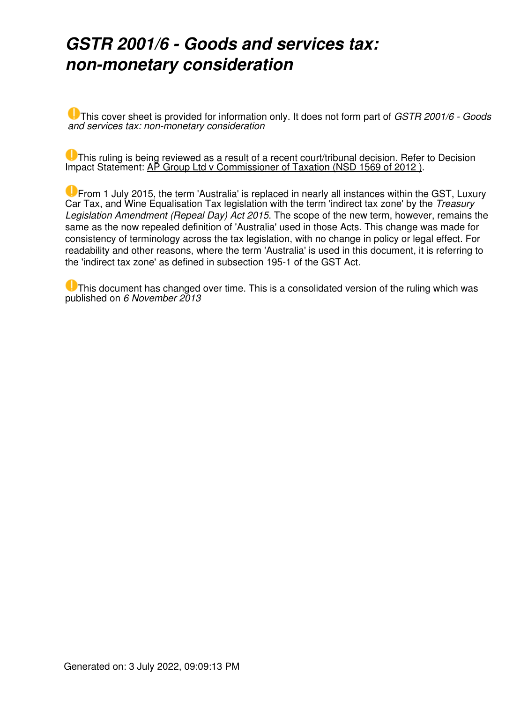### *GSTR 2001/6 - Goods and services tax: non-monetary consideration*

This cover sheet is provided for information only. It does not form part of *GSTR 2001/6 - Goods and services tax: non-monetary consideration*

This ruling is being reviewed as a result of a recent court/tribunal decision. Refer to Decision Impact Statement: AP Group Ltd v Commissioner of Taxation (NSD 1569 of 2012).

From 1 July 2015, the term 'Australia' is replaced in nearly all instances within the GST, Luxury Car Tax, and Wine Equalisation Tax legislation with the term 'indirect tax zone' by the *Treasury Legislation Amendment (Repeal Day) Act 2015*. The scope of the new term, however, remains the same as the now repealed definition of 'Australia' used in those Acts. This change was made for consistency of terminology across the tax legislation, with no change in policy or legal effect. For readability and other reasons, where the term 'Australia' is used in this document, it is referring to the 'indirect tax zone' as defined in subsection 195-1 of the GST Act.

This document has changed over time. This is a consolidated version of the ruling which was published on *6 November 2013*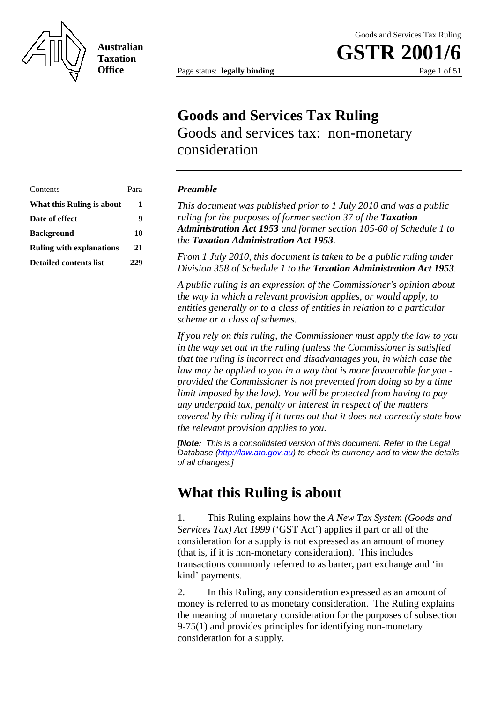

**Australian Taxation Office**

Goods and Services Tax Ruling

**GSTR 2001** 

Page status: **legally binding** Page 1 of 51

### **Goods and Services Tax Ruling**

Goods and services tax: non-monetary consideration

| Contents                        | Para |
|---------------------------------|------|
| What this Ruling is about       | 1    |
| Date of effect                  | q    |
| <b>Background</b>               | 10   |
| <b>Ruling with explanations</b> | 21   |
| Detailed contents list          | 229  |

#### **Preamble**

This document was published prior to 1 July 2010 and was a public *ruling for the purposes of former section 37 of the Taxation*  **i**stration Act 1953 and former section 105-60 of Schedule 1 to *Administration Act 1953* and former section 105-60 of Schedule 1 to *the Taxation Administration Act 1953.* 

> *From 1 July 2010, this document is taken to be a public ruling under*  **Division 358 of Schedule 1 to the Taxation Administration Act 1953.**

> *A public ruling is an expression of the Commissioner's opinion about the way in which a relevant provision applies, or would apply, to entities generally or to a class of entities in relation to a particular scheme or a class of schemes.*

*If you rely on this ruling, the Commissioner must apply the law to you in the way set out in the ruling (unless the Commissioner is satisfied that the ruling is incorrect and disadvantages you, in which case the law may be applied to you in a way that is more favourable for you provided the Commissioner is not prevented from doing so by a time limit imposed by the law). You will be protected from having to pay any underpaid tax, penalty or interest in respect of the matters covered by this ruling if it turns out that it does not correctly state how the relevant provision applies to you.* 

*[Note: This is a consolidated version of this document. Refer to the Legal Database (http://law.ato.gov.au) to check its currency and to view the details of all changes.]*

#### **What this Ruling is about**

1. This Ruling explains how the *A New Tax System (Goods and Services Tax) Act 1999* ('GST Act') applies if part or all of the consideration for a supply is not expressed as an amount of money (that is, if it is non-monetary consideration). This includes transactions commonly referred to as barter, part exchange and 'in kind' payments.

2. In this Ruling, any consideration expressed as an amount of money is referred to as monetary consideration. The Ruling explains the meaning of monetary consideration for the purposes of subsection 9-75(1) and provides principles for identifying non-monetary consideration for a supply.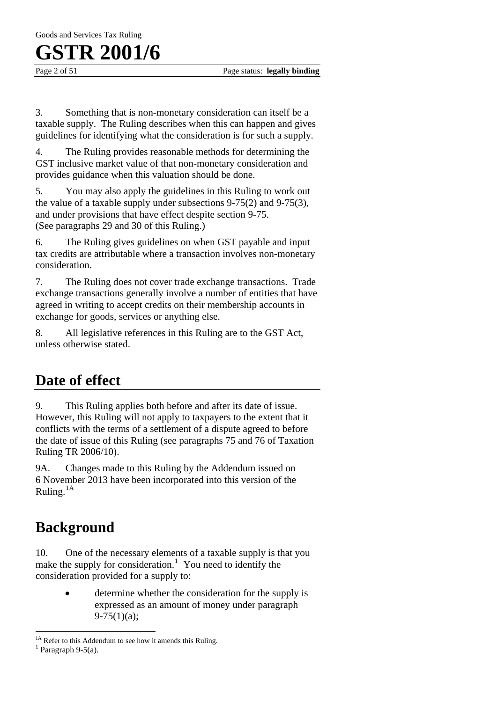Page 2 of 51 Page status: **legally binding** 

3. Something that is non-monetary consideration can itself be a taxable supply. The Ruling describes when this can happen and gives guidelines for identifying what the consideration is for such a supply.

4. The Ruling provides reasonable methods for determining the GST inclusive market value of that non-monetary consideration and provides guidance when this valuation should be done.

5. You may also apply the guidelines in this Ruling to work out the value of a taxable supply under subsections 9-75(2) and 9-75(3), and under provisions that have effect despite section 9-75. (See paragraphs 29 and 30 of this Ruling.)

6. The Ruling gives guidelines on when GST payable and input tax credits are attributable where a transaction involves non-monetary consideration.

7. The Ruling does not cover trade exchange transactions. Trade exchange transactions generally involve a number of entities that have agreed in writing to accept credits on their membership accounts in exchange for goods, services or anything else.

8. All legislative references in this Ruling are to the GST Act, unless otherwise stated.

### **Date of effect**

9. This Ruling applies both before and after its date of issue. However, this Ruling will not apply to taxpayers to the extent that it conflicts with the terms of a settlement of a dispute agreed to before the date of issue of this Ruling (see paragraphs 75 and 76 of Taxation Ruling TR 2006/10).

9A. Changes made to this Ruling by the Addendum issued on 6 November 2013 have been incorporated into this version of the Ruling.1A

### **Background**

10. One of the necessary elements of a taxable supply is that you make the supply for consideration.<sup>1</sup> You need to identify the consideration provided for a supply to:

> determine whether the consideration for the supply is expressed as an amount of money under paragraph  $9-75(1)(a)$ ;

 $\overline{a}$ 

<sup>&</sup>lt;sup>1A</sup> Refer to this Addendum to see how it amends this Ruling.

 $<sup>1</sup>$  Paragraph 9-5(a).</sup>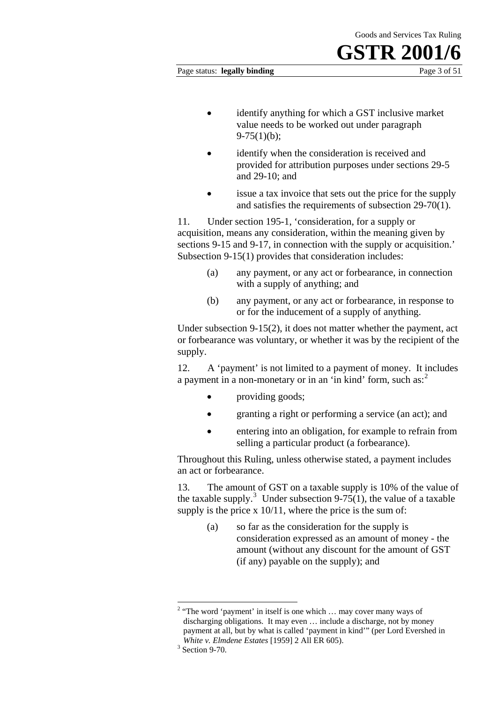#### Page status: **legally binding** Page 3 of 51

- identify anything for which a GST inclusive market value needs to be worked out under paragraph  $9-75(1)(b)$ ;
- identify when the consideration is received and provided for attribution purposes under sections 29-5 and 29-10; and
- issue a tax invoice that sets out the price for the supply and satisfies the requirements of subsection 29-70(1).

11. Under section 195-1, 'consideration, for a supply or acquisition, means any consideration, within the meaning given by sections 9-15 and 9-17, in connection with the supply or acquisition.' Subsection 9-15(1) provides that consideration includes:

- (a) any payment, or any act or forbearance, in connection with a supply of anything; and
- (b) any payment, or any act or forbearance, in response to or for the inducement of a supply of anything.

Under subsection 9-15(2), it does not matter whether the payment, act or forbearance was voluntary, or whether it was by the recipient of the supply.

12. A 'payment' is not limited to a payment of money. It includes a payment in a non-monetary or in an 'in kind' form, such as: $<sup>2</sup>$ </sup>

- providing goods;
- granting a right or performing a service (an act); and
- entering into an obligation, for example to refrain from selling a particular product (a forbearance).

Throughout this Ruling, unless otherwise stated, a payment includes an act or forbearance.

13. The amount of GST on a taxable supply is 10% of the value of the taxable supply.<sup>3</sup> Under subsection 9-75(1), the value of a taxable supply is the price x  $10/11$ , where the price is the sum of:

> (a) so far as the consideration for the supply is consideration expressed as an amount of money - the amount (without any discount for the amount of GST (if any) payable on the supply); and

<sup>&</sup>lt;sup>2</sup> "The word 'payment' in itself is one which ... may cover many ways of discharging obligations. It may even … include a discharge, not by money payment at all, but by what is called 'payment in kind'" (per Lord Evershed in *White v. Elmdene Estates* [1959] 2 All ER 605).

 $3$  Section 9-70.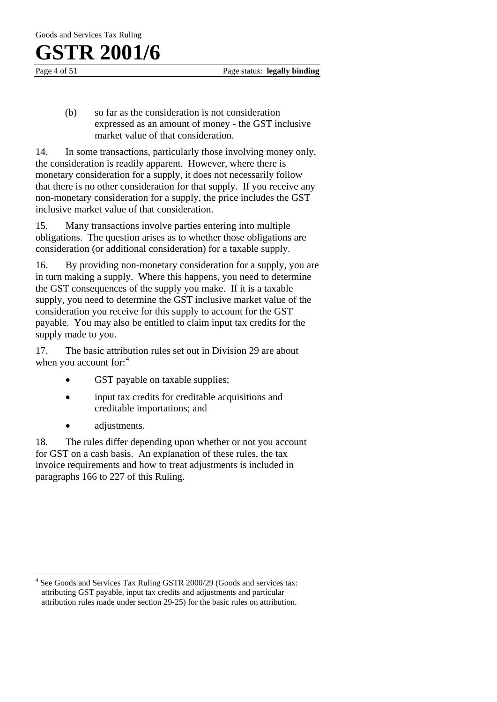Page 4 of 51 Page status: **legally binding** 

(b) so far as the consideration is not consideration expressed as an amount of money - the GST inclusive market value of that consideration.

14. In some transactions, particularly those involving money only, the consideration is readily apparent. However, where there is monetary consideration for a supply, it does not necessarily follow that there is no other consideration for that supply. If you receive any non-monetary consideration for a supply, the price includes the GST inclusive market value of that consideration.

15. Many transactions involve parties entering into multiple obligations. The question arises as to whether those obligations are consideration (or additional consideration) for a taxable supply.

16. By providing non-monetary consideration for a supply, you are in turn making a supply. Where this happens, you need to determine the GST consequences of the supply you make. If it is a taxable supply, you need to determine the GST inclusive market value of the consideration you receive for this supply to account for the GST payable. You may also be entitled to claim input tax credits for the supply made to you.

17. The basic attribution rules set out in Division 29 are about when you account for:<sup>4</sup>

- GST payable on taxable supplies;
- input tax credits for creditable acquisitions and creditable importations; and
- adjustments.

 $\overline{a}$ 

18. The rules differ depending upon whether or not you account for GST on a cash basis. An explanation of these rules, the tax invoice requirements and how to treat adjustments is included in paragraphs 166 to 227 of this Ruling.

<sup>&</sup>lt;sup>4</sup> See Goods and Services Tax Ruling GSTR 2000/29 (Goods and services tax: attributing GST payable, input tax credits and adjustments and particular attribution rules made under section 29-25) for the basic rules on attribution.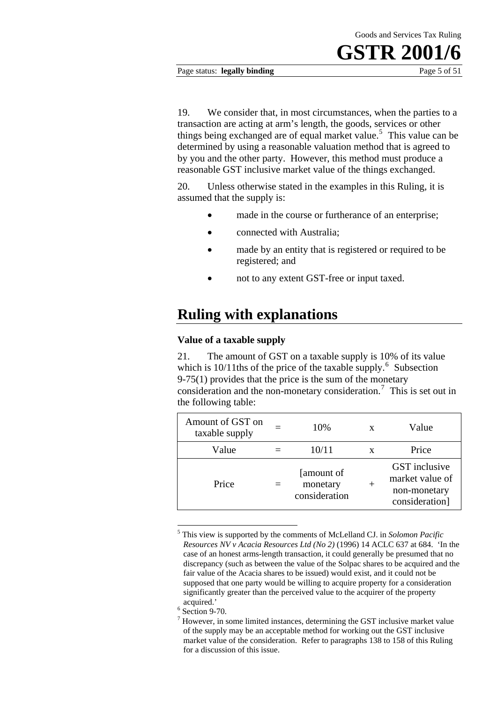#### Page status: **legally binding** Page 5 of 51

19. We consider that, in most circumstances, when the parties to a transaction are acting at arm's length, the goods, services or other things being exchanged are of equal market value.<sup>5</sup> This value can be determined by using a reasonable valuation method that is agreed to by you and the other party. However, this method must produce a reasonable GST inclusive market value of the things exchanged.

20. Unless otherwise stated in the examples in this Ruling, it is assumed that the supply is:

- made in the course or furtherance of an enterprise:
- connected with Australia;
- made by an entity that is registered or required to be registered; and
- not to any extent GST-free or input taxed.

#### **Ruling with explanations**

#### **Value of a taxable supply**

21. The amount of GST on a taxable supply is 10% of its value which is  $10/11$  ths of the price of the taxable supply.<sup>6</sup> Subsection 9-75(1) provides that the price is the sum of the monetary consideration and the non-monetary consideration.<sup>7</sup> This is set out in the following table:

| Amount of GST on<br>taxable supply | 10%                                      | X | Value                                                              |
|------------------------------------|------------------------------------------|---|--------------------------------------------------------------------|
| Value                              | 10/11                                    |   | Price                                                              |
| Price                              | [amount of]<br>monetary<br>consideration |   | GST inclusive<br>market value of<br>non-monetary<br>consideration] |

<sup>5</sup> This view is supported by the comments of McLelland CJ. in *Solomon Pacific Resources NV v Acacia Resources Ltd (No 2)* (1996) 14 ACLC 637 at 684. 'In the case of an honest arms-length transaction, it could generally be presumed that no discrepancy (such as between the value of the Solpac shares to be acquired and the fair value of the Acacia shares to be issued) would exist, and it could not be supposed that one party would be willing to acquire property for a consideration significantly greater than the perceived value to the acquirer of the property acquired.' 6 Section 9-70.

1

<sup>7</sup> However, in some limited instances, determining the GST inclusive market value of the supply may be an acceptable method for working out the GST inclusive market value of the consideration. Refer to paragraphs 138 to 158 of this Ruling for a discussion of this issue.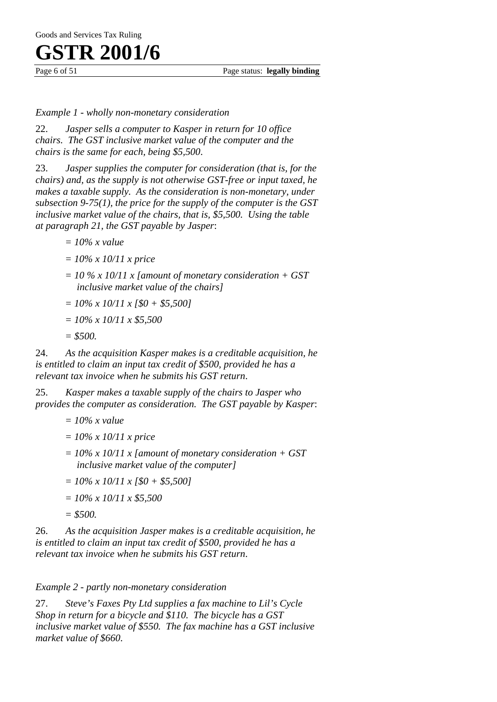Page 6 of 51 Page status: **legally binding** 

#### *Example 1 - wholly non-monetary consideration*

22. *Jasper sells a computer to Kasper in return for 10 office chairs. The GST inclusive market value of the computer and the chairs is the same for each, being \$5,500*.

23. *Jasper supplies the computer for consideration (that is, for the chairs) and, as the supply is not otherwise GST-free or input taxed, he makes a taxable supply. As the consideration is non-monetary, under subsection 9-75(1), the price for the supply of the computer is the GST inclusive market value of the chairs, that is, \$5,500. Using the table at paragraph 21, the GST payable by Jasper*:

- *= 10% x value*
- *= 10% x 10/11 x price*
- *= 10 % x 10/11 x [amount of monetary consideration + GST inclusive market value of the chairs]*
- *= 10% x 10/11 x [\$0 + \$5,500]*
- *= 10% x 10/11 x \$5,500*
- *= \$500.*

24. *As the acquisition Kasper makes is a creditable acquisition, he is entitled to claim an input tax credit of \$500, provided he has a relevant tax invoice when he submits his GST return*.

25. *Kasper makes a taxable supply of the chairs to Jasper who provides the computer as consideration. The GST payable by Kasper*:

- *= 10% x value*
- *= 10% x 10/11 x price*
- *= 10% x 10/11 x [amount of monetary consideration + GST inclusive market value of the computer]*
- *= 10% x 10/11 x [\$0 + \$5,500]*
- *= 10% x 10/11 x \$5,500*
- *= \$500.*

26. *As the acquisition Jasper makes is a creditable acquisition, he is entitled to claim an input tax credit of \$500, provided he has a relevant tax invoice when he submits his GST return*.

*Example 2 - partly non-monetary consideration* 

27. *Steve's Faxes Pty Ltd supplies a fax machine to Lil's Cycle Shop in return for a bicycle and \$110. The bicycle has a GST inclusive market value of \$550. The fax machine has a GST inclusive market value of \$660*.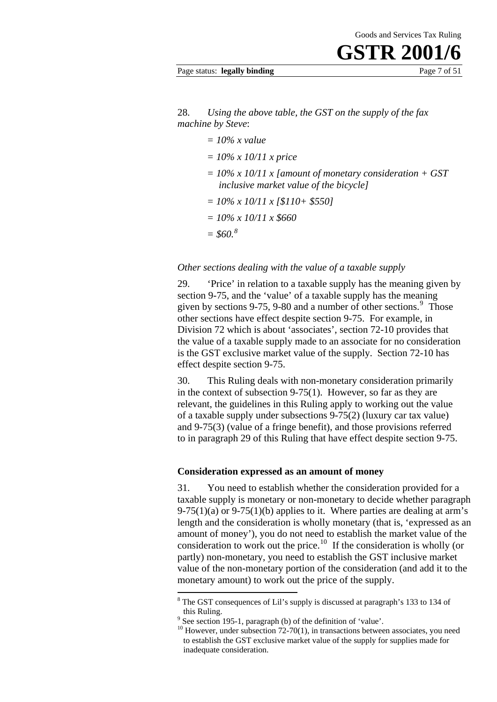#### Page status: **legally binding** Page 7 of 51

28. *Using the above table, the GST on the supply of the fax machine by Steve*:

- *= 10% x value*
- *= 10% x 10/11 x price*
- *= 10% x 10/11 x [amount of monetary consideration + GST inclusive market value of the bicycle]*
- *= 10% x 10/11 x [\$110+ \$550]*
- *= 10% x 10/11 x \$660*
- *= \$60.<sup>8</sup>*

*Other sections dealing with the value of a taxable supply* 

29. 'Price' in relation to a taxable supply has the meaning given by section 9-75, and the 'value' of a taxable supply has the meaning given by sections  $9-75$ ,  $9-80$  and a number of other sections.<sup>9</sup> Those other sections have effect despite section 9-75. For example, in Division 72 which is about 'associates', section 72-10 provides that the value of a taxable supply made to an associate for no consideration is the GST exclusive market value of the supply. Section 72-10 has effect despite section 9-75.

30. This Ruling deals with non-monetary consideration primarily in the context of subsection 9-75(1). However, so far as they are relevant, the guidelines in this Ruling apply to working out the value of a taxable supply under subsections 9-75(2) (luxury car tax value) and 9-75(3) (value of a fringe benefit), and those provisions referred to in paragraph 29 of this Ruling that have effect despite section 9-75.

#### **Consideration expressed as an amount of money**

31. You need to establish whether the consideration provided for a taxable supply is monetary or non-monetary to decide whether paragraph  $9-75(1)(a)$  or  $9-75(1)(b)$  applies to it. Where parties are dealing at arm's length and the consideration is wholly monetary (that is, 'expressed as an amount of money'), you do not need to establish the market value of the consideration to work out the price.<sup>10</sup> If the consideration is wholly (or partly) non-monetary, you need to establish the GST inclusive market value of the non-monetary portion of the consideration (and add it to the monetary amount) to work out the price of the supply.

1

<sup>&</sup>lt;sup>8</sup> The GST consequences of Lil's supply is discussed at paragraph's 133 to 134 of this Ruling.<br><sup>9</sup> See section 195-1, paragraph (b) of the definition of 'value'.

 $10$  However, under subsection 72-70(1), in transactions between associates, you need to establish the GST exclusive market value of the supply for supplies made for inadequate consideration.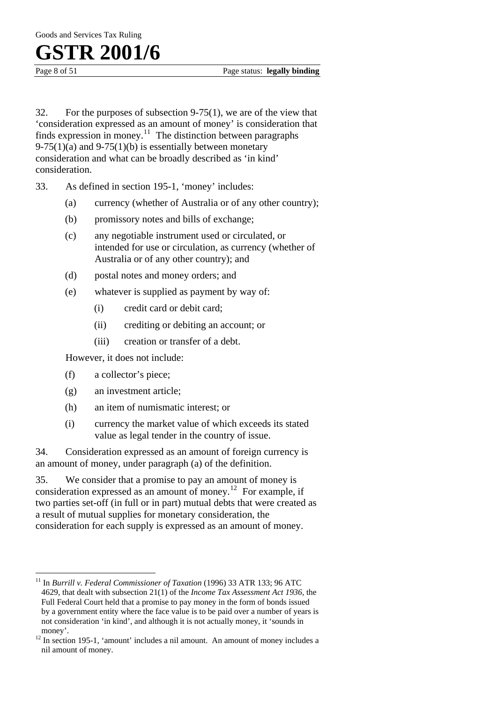$\overline{a}$ 

Page 8 of 51 Page status: **legally binding** 

32. For the purposes of subsection 9-75(1), we are of the view that 'consideration expressed as an amount of money' is consideration that finds expression in money.<sup>11</sup> The distinction between paragraphs  $9-75(1)(a)$  and  $9-75(1)(b)$  is essentially between monetary consideration and what can be broadly described as 'in kind' consideration.

33. As defined in section 195-1, 'money' includes:

- (a) currency (whether of Australia or of any other country);
- (b) promissory notes and bills of exchange;
- (c) any negotiable instrument used or circulated, or intended for use or circulation, as currency (whether of Australia or of any other country); and
- (d) postal notes and money orders; and
- (e) whatever is supplied as payment by way of:
	- (i) credit card or debit card;
	- (ii) crediting or debiting an account; or
	- (iii) creation or transfer of a debt.

However, it does not include:

- (f) a collector's piece;
- (g) an investment article;
- (h) an item of numismatic interest; or
- (i) currency the market value of which exceeds its stated value as legal tender in the country of issue.

34. Consideration expressed as an amount of foreign currency is an amount of money, under paragraph (a) of the definition.

35. We consider that a promise to pay an amount of money is consideration expressed as an amount of money.<sup>12</sup> For example, if two parties set-off (in full or in part) mutual debts that were created as a result of mutual supplies for monetary consideration, the consideration for each supply is expressed as an amount of money.

<sup>11</sup> In *Burrill v. Federal Commissioner of Taxation* (1996) 33 ATR 133; 96 ATC 4629, that dealt with subsection 21(1) of the *Income Tax Assessment Act 1936,* the Full Federal Court held that a promise to pay money in the form of bonds issued by a government entity where the face value is to be paid over a number of years is not consideration 'in kind', and although it is not actually money, it 'sounds in

money'.<br><sup>12</sup> In section 195-1, 'amount' includes a nil amount. An amount of money includes a nil amount of money.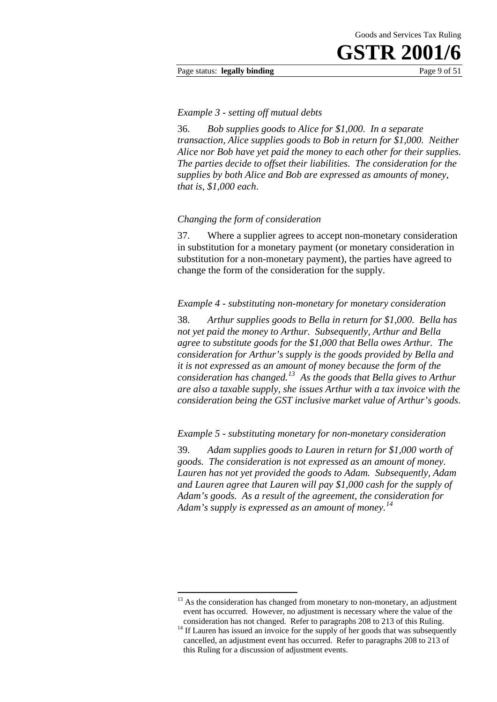Page status: **legally binding** Page 9 of 51

#### *Example 3 - setting off mutual debts*

36. *Bob supplies goods to Alice for \$1,000. In a separate transaction, Alice supplies goods to Bob in return for \$1,000. Neither Alice nor Bob have yet paid the money to each other for their supplies. The parties decide to offset their liabilities. The consideration for the supplies by both Alice and Bob are expressed as amounts of money, that is, \$1,000 each*.

#### *Changing the form of consideration*

37. Where a supplier agrees to accept non-monetary consideration in substitution for a monetary payment (or monetary consideration in substitution for a non-monetary payment), the parties have agreed to change the form of the consideration for the supply.

#### *Example 4 - substituting non-monetary for monetary consideration*

38. *Arthur supplies goods to Bella in return for \$1,000. Bella has not yet paid the money to Arthur. Subsequently, Arthur and Bella agree to substitute goods for the \$1,000 that Bella owes Arthur. The consideration for Arthur's supply is the goods provided by Bella and it is not expressed as an amount of money because the form of the consideration has changed.13 As the goods that Bella gives to Arthur are also a taxable supply, she issues Arthur with a tax invoice with the consideration being the GST inclusive market value of Arthur's goods*.

*Example 5 - substituting monetary for non-monetary consideration* 

39. *Adam supplies goods to Lauren in return for \$1,000 worth of goods. The consideration is not expressed as an amount of money. Lauren has not yet provided the goods to Adam. Subsequently, Adam and Lauren agree that Lauren will pay \$1,000 cash for the supply of Adam's goods. As a result of the agreement, the consideration for Adam's supply is expressed as an amount of money.<sup>14</sup>*

1

 $13$  As the consideration has changed from monetary to non-monetary, an adjustment event has occurred. However, no adjustment is necessary where the value of the

consideration has not changed. Refer to paragraphs 208 to 213 of this Ruling. 14 If Lauren has issued an invoice for the supply of her goods that was subsequently cancelled, an adjustment event has occurred. Refer to paragraphs 208 to 213 of this Ruling for a discussion of adjustment events.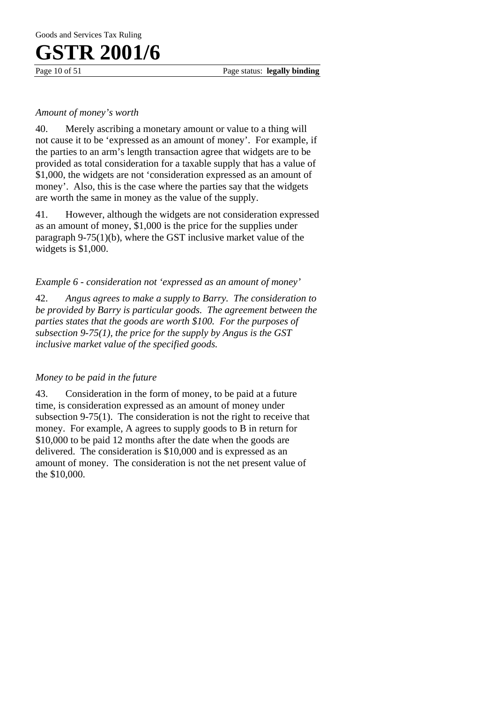Page 10 of 51 Page status: **legally binding** 

#### *Amount of money's worth*

40. Merely ascribing a monetary amount or value to a thing will not cause it to be 'expressed as an amount of money'. For example, if the parties to an arm's length transaction agree that widgets are to be provided as total consideration for a taxable supply that has a value of \$1,000, the widgets are not 'consideration expressed as an amount of money'. Also, this is the case where the parties say that the widgets are worth the same in money as the value of the supply.

41. However, although the widgets are not consideration expressed as an amount of money, \$1,000 is the price for the supplies under paragraph 9-75(1)(b), where the GST inclusive market value of the widgets is \$1,000.

#### *Example 6 - consideration not 'expressed as an amount of money'*

42. *Angus agrees to make a supply to Barry. The consideration to be provided by Barry is particular goods. The agreement between the parties states that the goods are worth \$100. For the purposes of subsection 9-75(1), the price for the supply by Angus is the GST inclusive market value of the specified goods.*

#### *Money to be paid in the future*

43. Consideration in the form of money, to be paid at a future time, is consideration expressed as an amount of money under subsection 9-75(1). The consideration is not the right to receive that money. For example, A agrees to supply goods to B in return for \$10,000 to be paid 12 months after the date when the goods are delivered. The consideration is \$10,000 and is expressed as an amount of money. The consideration is not the net present value of the \$10,000.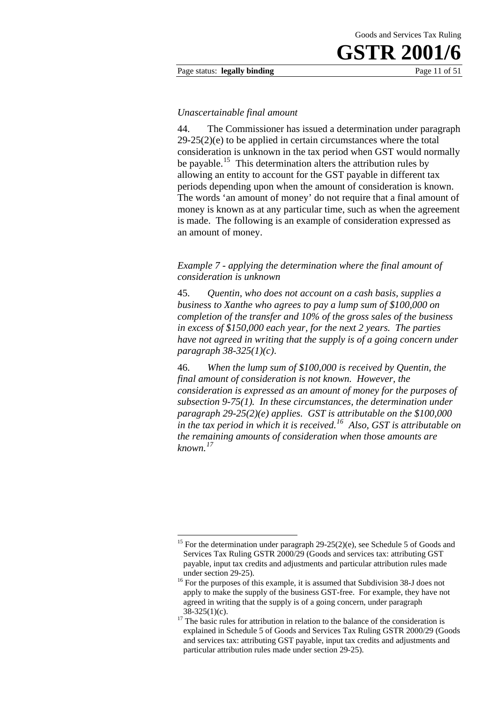#### Page status: **legally binding** Page 11 of 51

#### *Unascertainable final amount*

44. The Commissioner has issued a determination under paragraph 29-25(2)(e) to be applied in certain circumstances where the total consideration is unknown in the tax period when GST would normally be payable.<sup>15</sup> This determination alters the attribution rules by allowing an entity to account for the GST payable in different tax periods depending upon when the amount of consideration is known. The words 'an amount of money' do not require that a final amount of money is known as at any particular time, such as when the agreement is made. The following is an example of consideration expressed as an amount of money.

*Example 7 - applying the determination where the final amount of consideration is unknown* 

45. *Quentin, who does not account on a cash basis, supplies a business to Xanthe who agrees to pay a lump sum of \$100,000 on completion of the transfer and 10% of the gross sales of the business in excess of \$150,000 each year, for the next 2 years. The parties have not agreed in writing that the supply is of a going concern under paragraph 38-325(1)(c)*.

46. *When the lump sum of \$100,000 is received by Quentin, the final amount of consideration is not known. However, the consideration is expressed as an amount of money for the purposes of subsection 9-75(1). In these circumstances, the determination under paragraph 29-25(2)(e) applies. GST is attributable on the \$100,000 in the tax period in which it is received.16 Also, GST is attributable on the remaining amounts of consideration when those amounts are known.<sup>17</sup>*

<sup>1</sup> <sup>15</sup> For the determination under paragraph  $29-25(2)(e)$ , see Schedule 5 of Goods and Services Tax Ruling GSTR 2000/29 (Goods and services tax: attributing GST payable, input tax credits and adjustments and particular attribution rules made

under section 29-25). 16 For the purposes of this example, it is assumed that Subdivision 38-J does not apply to make the supply of the business GST-free. For example, they have not agreed in writing that the supply is of a going concern, under paragraph

 $38-325(1)(c)$ .<br><sup>17</sup> The basic rules for attribution in relation to the balance of the consideration is explained in Schedule 5 of Goods and Services Tax Ruling GSTR 2000/29 (Goods and services tax: attributing GST payable, input tax credits and adjustments and particular attribution rules made under section 29-25).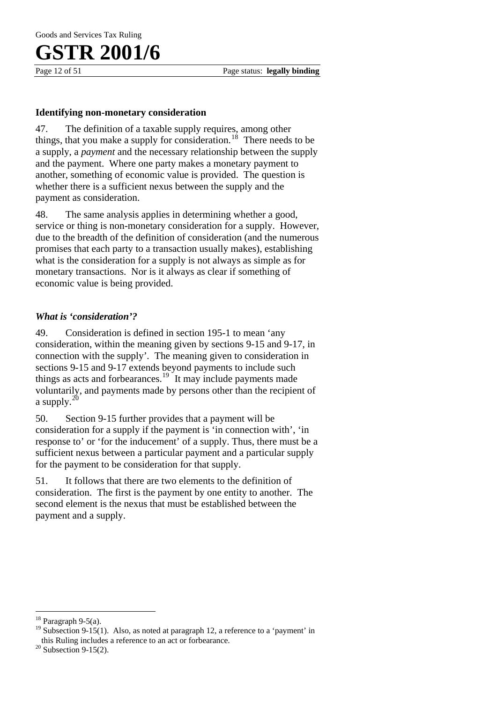Page 12 of 51 Page status: **legally binding** 

#### **Identifying non-monetary consideration**

47. The definition of a taxable supply requires, among other things, that you make a supply for consideration.<sup>18</sup> There needs to be a supply, a *payment* and the necessary relationship between the supply and the payment. Where one party makes a monetary payment to another, something of economic value is provided. The question is whether there is a sufficient nexus between the supply and the payment as consideration.

48. The same analysis applies in determining whether a good, service or thing is non-monetary consideration for a supply. However, due to the breadth of the definition of consideration (and the numerous promises that each party to a transaction usually makes), establishing what is the consideration for a supply is not always as simple as for monetary transactions. Nor is it always as clear if something of economic value is being provided.

#### *What is 'consideration'?*

49. Consideration is defined in section 195-1 to mean 'any consideration, within the meaning given by sections 9-15 and 9-17, in connection with the supply'*.* The meaning given to consideration in sections 9-15 and 9-17 extends beyond payments to include such things as acts and forbearances.<sup>19</sup> It may include payments made voluntarily, and payments made by persons other than the recipient of a supply. $^{20}$ 

50. Section 9-15 further provides that a payment will be consideration for a supply if the payment is 'in connection with', 'in response to' or 'for the inducement' of a supply. Thus, there must be a sufficient nexus between a particular payment and a particular supply for the payment to be consideration for that supply.

51. It follows that there are two elements to the definition of consideration. The first is the payment by one entity to another. The second element is the nexus that must be established between the payment and a supply.

 $\overline{a}$ 

 $18$  Paragraph 9-5(a).

<sup>&</sup>lt;sup>19</sup> Subsection 9-15(1). Also, as noted at paragraph 12, a reference to a 'payment' in this Ruling includes a reference to an act or forbearance. <sup>20</sup> Subsection 9-15(2).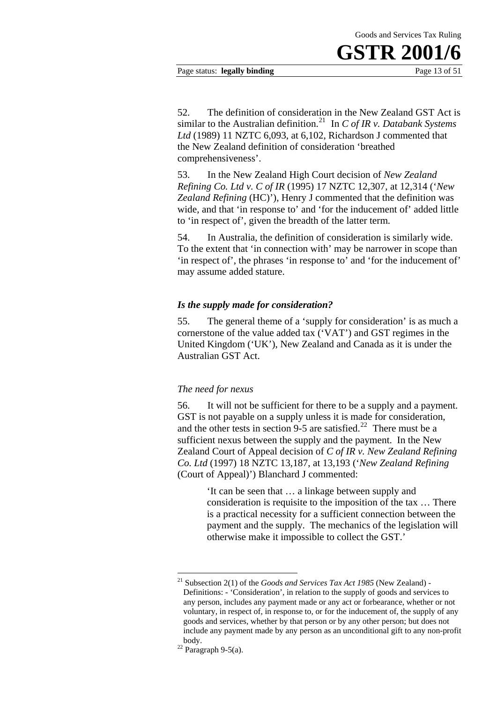#### Page status: **legally binding** Page 13 of 51

52. The definition of consideration in the New Zealand GST Act is similar to the Australian definition.<sup>21</sup> In *C of IR v. Databank Systems Ltd* (1989) 11 NZTC 6,093, at 6,102, Richardson J commented that the New Zealand definition of consideration 'breathed comprehensiveness'.

53. In the New Zealand High Court decision of *New Zealand Refining Co. Ltd v. C of IR* (1995) 17 NZTC 12,307, at 12,314 ('*New Zealand Refining* (HC)'), Henry J commented that the definition was wide, and that 'in response to' and 'for the inducement of' added little to 'in respect of', given the breadth of the latter term.

54. In Australia, the definition of consideration is similarly wide. To the extent that 'in connection with' may be narrower in scope than 'in respect of', the phrases 'in response to' and 'for the inducement of' may assume added stature.

#### *Is the supply made for consideration?*

55. The general theme of a 'supply for consideration' is as much a cornerstone of the value added tax ('VAT') and GST regimes in the United Kingdom ('UK'), New Zealand and Canada as it is under the Australian GST Act.

#### *The need for nexus*

56. It will not be sufficient for there to be a supply and a payment. GST is not payable on a supply unless it is made for consideration, and the other tests in section 9-5 are satisfied.<sup>22</sup> There must be a sufficient nexus between the supply and the payment. In the New Zealand Court of Appeal decision of *C of IR v. New Zealand Refining Co. Ltd* (1997) 18 NZTC 13,187, at 13,193 ('*New Zealand Refining* (Court of Appeal)') Blanchard J commented:

> 'It can be seen that … a linkage between supply and consideration is requisite to the imposition of the tax … There is a practical necessity for a sufficient connection between the payment and the supply. The mechanics of the legislation will otherwise make it impossible to collect the GST.'

1

<sup>21</sup> Subsection 2(1) of the *Goods and Services Tax Act 1985* (New Zealand) - Definitions: - 'Consideration', in relation to the supply of goods and services to any person, includes any payment made or any act or forbearance, whether or not voluntary, in respect of, in response to, or for the inducement of, the supply of any goods and services, whether by that person or by any other person; but does not include any payment made by any person as an unconditional gift to any non-profit

body.<br><sup>22</sup> Paragraph 9-5(a).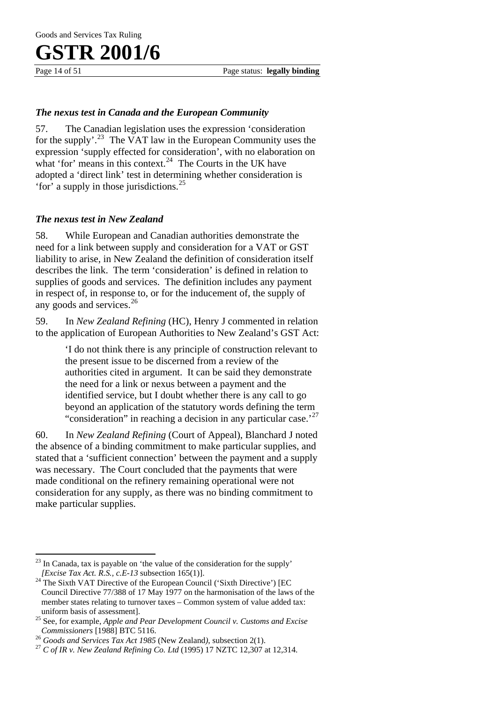Page 14 of 51 Page status: **legally binding** 

#### *The nexus test in Canada and the European Community*

57. The Canadian legislation uses the expression 'consideration for the supply'.<sup>23</sup> The VAT law in the European Community uses the expression 'supply effected for consideration', with no elaboration on what 'for' means in this context.<sup>24</sup> The Courts in the UK have adopted a 'direct link' test in determining whether consideration is 'for' a supply in those jurisdictions.<sup>25</sup>

#### *The nexus test in New Zealand*

58. While European and Canadian authorities demonstrate the need for a link between supply and consideration for a VAT or GST liability to arise, in New Zealand the definition of consideration itself describes the link. The term 'consideration' is defined in relation to supplies of goods and services. The definition includes any payment in respect of, in response to, or for the inducement of, the supply of any goods and services. $^{26}$ 

59. In *New Zealand Refining* (HC), Henry J commented in relation to the application of European Authorities to New Zealand's GST Act:

> 'I do not think there is any principle of construction relevant to the present issue to be discerned from a review of the authorities cited in argument. It can be said they demonstrate the need for a link or nexus between a payment and the identified service, but I doubt whether there is any call to go beyond an application of the statutory words defining the term "consideration" in reaching a decision in any particular case. $^{27}$

60. In *New Zealand Refining* (Court of Appeal), Blanchard J noted the absence of a binding commitment to make particular supplies, and stated that a 'sufficient connection' between the payment and a supply was necessary. The Court concluded that the payments that were made conditional on the refinery remaining operational were not consideration for any supply, as there was no binding commitment to make particular supplies.

 $\overline{a}$ <sup>23</sup> In Canada, tax is payable on 'the value of the consideration for the supply' *[Excise Tax Act. R.S., c.E-13* subsection 165(1)].

<sup>&</sup>lt;sup>24</sup> The Sixth VAT Directive of the European Council ('Sixth Directive') [EC Council Directive 77/388 of 17 May 1977 on the harmonisation of the laws of the member states relating to turnover taxes – Common system of value added tax:

uniform basis of assessment]. 25 See, for example, *Apple and Pear Development Council v. Customs and Excise Commissioners* [1988] BTC 5116.<br><sup>26</sup> *Goods and Services Tax Act 1985* (New Zealand), subsection 2(1).<br><sup>27</sup> *C of IR v. New Zealand Refining Co. Ltd* (1995) 17 NZTC 12,307 at 12,314.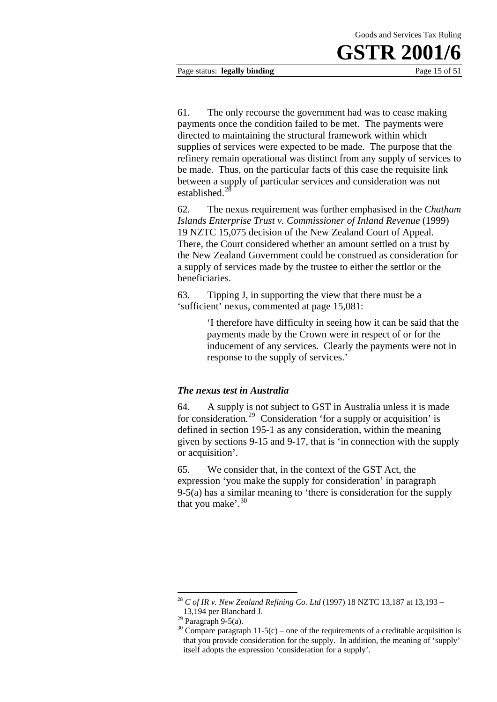Page status: **legally binding** Page 15 of 51

61. The only recourse the government had was to cease making

payments once the condition failed to be met. The payments were directed to maintaining the structural framework within which supplies of services were expected to be made. The purpose that the refinery remain operational was distinct from any supply of services to be made. Thus, on the particular facts of this case the requisite link between a supply of particular services and consideration was not established.<sup>2</sup>

62. The nexus requirement was further emphasised in the *Chatham Islands Enterprise Trust v. Commissioner of Inland Revenue* (1999) 19 NZTC 15,075 decision of the New Zealand Court of Appeal. There, the Court considered whether an amount settled on a trust by the New Zealand Government could be construed as consideration for a supply of services made by the trustee to either the settlor or the beneficiaries.

63. Tipping J, in supporting the view that there must be a 'sufficient' nexus, commented at page 15,081:

> 'I therefore have difficulty in seeing how it can be said that the payments made by the Crown were in respect of or for the inducement of any services. Clearly the payments were not in response to the supply of services.'

#### *The nexus test in Australia*

64. A supply is not subject to GST in Australia unless it is made for consideration*.* 29 Consideration 'for a supply or acquisition' is defined in section 195-1 as any consideration, within the meaning given by sections 9-15 and 9-17, that is 'in connection with the supply or acquisition'.

65. We consider that, in the context of the GST Act, the expression 'you make the supply for consideration' in paragraph 9-5(a) has a similar meaning to 'there is consideration for the supply that you make'. $30$ 

<sup>1</sup> <sup>28</sup> *C of IR v. New Zealand Refining Co. Ltd* (1997) 18 NZTC 13,187 at 13,193 – 13,194 per Blanchard J.

 $^{29}$  Paragraph 9-5(a).

 $30$  Compare paragraph 11-5(c) – one of the requirements of a creditable acquisition is that you provide consideration for the supply. In addition, the meaning of 'supply' itself adopts the expression 'consideration for a supply'.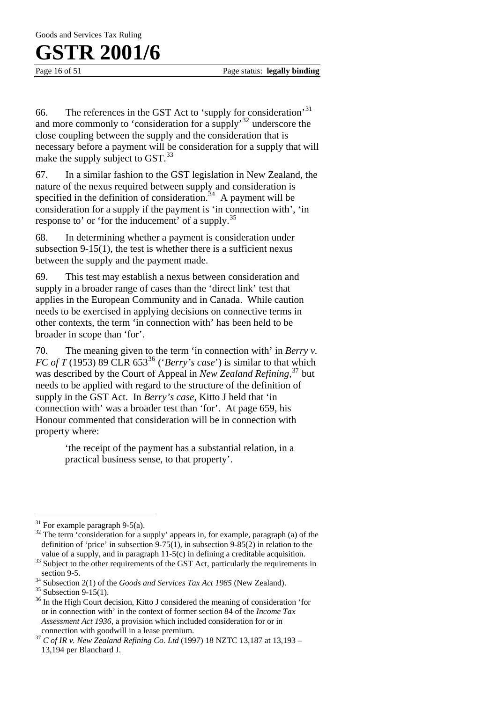Page 16 of 51 Page status: **legally binding** 

66. The references in the GST Act to 'supply for consideration'<sup>31</sup> and more commonly to 'consideration for a supply'32 underscore the close coupling between the supply and the consideration that is necessary before a payment will be consideration for a supply that will make the supply subject to GST.<sup>33</sup>

67. In a similar fashion to the GST legislation in New Zealand, the nature of the nexus required between supply and consideration is specified in the definition of consideration.<sup>34</sup> A payment will be consideration for a supply if the payment is 'in connection with', 'in response to' or 'for the inducement' of a supply.<sup>35</sup>

68. In determining whether a payment is consideration under subsection 9-15(1), the test is whether there is a sufficient nexus between the supply and the payment made.

69. This test may establish a nexus between consideration and supply in a broader range of cases than the 'direct link' test that applies in the European Community and in Canada. While caution needs to be exercised in applying decisions on connective terms in other contexts, the term 'in connection with' has been held to be broader in scope than 'for'.

70. The meaning given to the term 'in connection with' in *Berry v. FC of T* (1953) 89 CLR 653<sup>36</sup> (*'Berry's case'*) is similar to that which was described by the Court of Appeal in *New Zealand Refining,*37 but needs to be applied with regard to the structure of the definition of supply in the GST Act. In *Berry's case*, Kitto J held that 'in connection with' was a broader test than 'for'. At page 659, his Honour commented that consideration will be in connection with property where:

> 'the receipt of the payment has a substantial relation, in a practical business sense, to that property'.

 $\overline{a}$ 

 $31$  For example paragraph 9-5(a).

 $32$  The term 'consideration for a supply' appears in, for example, paragraph (a) of the definition of 'price' in subsection 9-75(1), in subsection 9-85(2) in relation to the

value of a supply, and in paragraph  $11-5(c)$  in defining a creditable acquisition.  $33$  Subject to the other requirements of the GST Act, particularly the requirements in

section 9-5.<br><sup>34</sup> Subsection 2(1) of the *Goods and Services Tax Act 1985* (New Zealand).<br><sup>35</sup> Subsection 9-15(1).

<sup>&</sup>lt;sup>36</sup> In the High Court decision, Kitto J considered the meaning of consideration 'for or in connection with' in the context of former section 84 of the *Income Tax Assessment Act 1936*, a provision which included consideration for or in

connection with goodwill in a lease premium.<br><sup>37</sup> *C of IR v. New Zealand Refining Co. Ltd* (1997) 18 NZTC 13,187 at 13,193 – 13,194 per Blanchard J.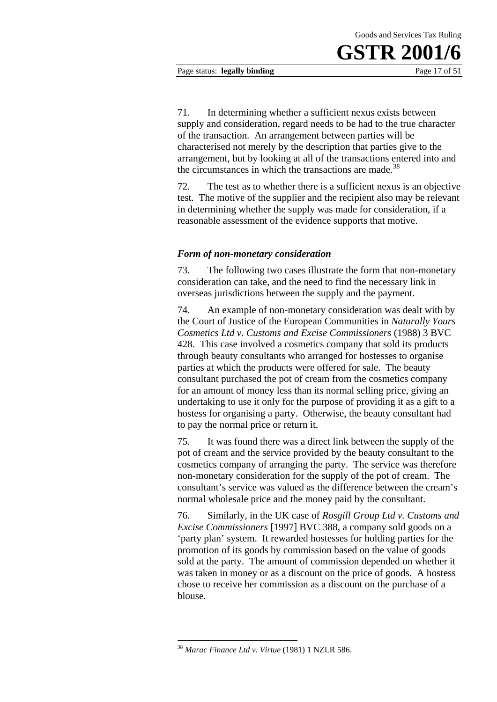Page status: **legally binding** Page 17 of 51

71. In determining whether a sufficient nexus exists between supply and consideration, regard needs to be had to the true character of the transaction. An arrangement between parties will be characterised not merely by the description that parties give to the arrangement, but by looking at all of the transactions entered into and the circumstances in which the transactions are made. $38$ 

72. The test as to whether there is a sufficient nexus is an objective test. The motive of the supplier and the recipient also may be relevant in determining whether the supply was made for consideration, if a reasonable assessment of the evidence supports that motive.

#### *Form of non-monetary consideration*

73. The following two cases illustrate the form that non-monetary consideration can take, and the need to find the necessary link in overseas jurisdictions between the supply and the payment.

74. An example of non-monetary consideration was dealt with by the Court of Justice of the European Communities in *Naturally Yours Cosmetics Ltd v. Customs and Excise Commissioners* (1988) 3 BVC 428. This case involved a cosmetics company that sold its products through beauty consultants who arranged for hostesses to organise parties at which the products were offered for sale. The beauty consultant purchased the pot of cream from the cosmetics company for an amount of money less than its normal selling price, giving an undertaking to use it only for the purpose of providing it as a gift to a hostess for organising a party. Otherwise, the beauty consultant had to pay the normal price or return it.

75. It was found there was a direct link between the supply of the pot of cream and the service provided by the beauty consultant to the cosmetics company of arranging the party. The service was therefore non-monetary consideration for the supply of the pot of cream. The consultant's service was valued as the difference between the cream's normal wholesale price and the money paid by the consultant.

76. Similarly, in the UK case of *Rosgill Group Ltd v. Customs and Excise Commissioners* [1997] BVC 388, a company sold goods on a 'party plan' system. It rewarded hostesses for holding parties for the promotion of its goods by commission based on the value of goods sold at the party. The amount of commission depended on whether it was taken in money or as a discount on the price of goods. A hostess chose to receive her commission as a discount on the purchase of a blouse.

1

<sup>38</sup> *Marac Finance Ltd v. Virtue* (1981) 1 NZLR 586.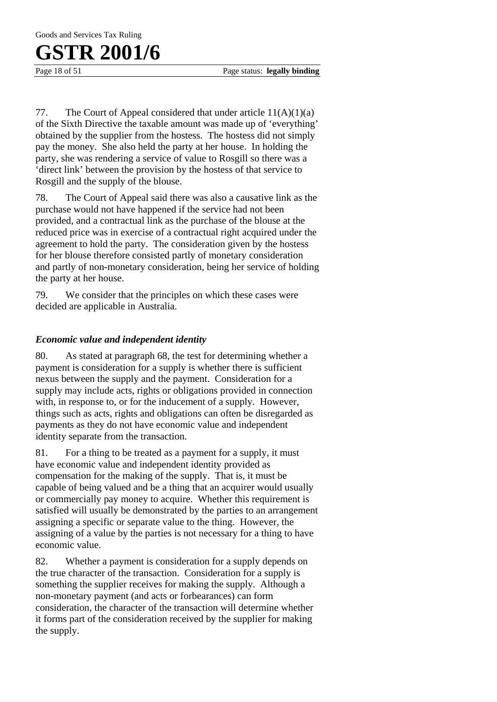Page 18 of 51 Page status: **legally binding** 

77. The Court of Appeal considered that under article 11(A)(1)(a) of the Sixth Directive the taxable amount was made up of 'everything' obtained by the supplier from the hostess. The hostess did not simply pay the money. She also held the party at her house. In holding the party, she was rendering a service of value to Rosgill so there was a 'direct link' between the provision by the hostess of that service to Rosgill and the supply of the blouse.

78. The Court of Appeal said there was also a causative link as the purchase would not have happened if the service had not been provided, and a contractual link as the purchase of the blouse at the reduced price was in exercise of a contractual right acquired under the agreement to hold the party. The consideration given by the hostess for her blouse therefore consisted partly of monetary consideration and partly of non-monetary consideration, being her service of holding the party at her house.

79. We consider that the principles on which these cases were decided are applicable in Australia.

#### *Economic value and independent identity*

80. As stated at paragraph 68, the test for determining whether a payment is consideration for a supply is whether there is sufficient nexus between the supply and the payment. Consideration for a supply may include acts, rights or obligations provided in connection with, in response to, or for the inducement of a supply. However, things such as acts, rights and obligations can often be disregarded as payments as they do not have economic value and independent identity separate from the transaction.

81. For a thing to be treated as a payment for a supply, it must have economic value and independent identity provided as compensation for the making of the supply. That is, it must be capable of being valued and be a thing that an acquirer would usually or commercially pay money to acquire. Whether this requirement is satisfied will usually be demonstrated by the parties to an arrangement assigning a specific or separate value to the thing. However, the assigning of a value by the parties is not necessary for a thing to have economic value.

82. Whether a payment is consideration for a supply depends on the true character of the transaction. Consideration for a supply is something the supplier receives for making the supply. Although a non-monetary payment (and acts or forbearances) can form consideration, the character of the transaction will determine whether it forms part of the consideration received by the supplier for making the supply.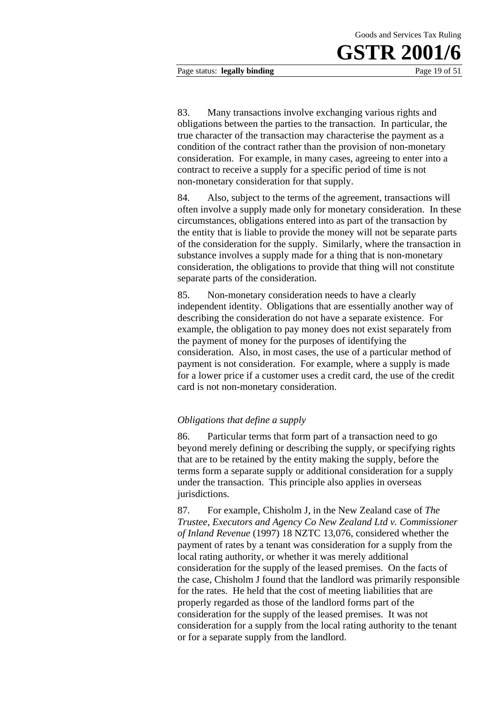Page status: **legally binding** Page 19 of 51

83. Many transactions involve exchanging various rights and obligations between the parties to the transaction. In particular, the true character of the transaction may characterise the payment as a condition of the contract rather than the provision of non-monetary consideration. For example, in many cases, agreeing to enter into a

84. Also, subject to the terms of the agreement, transactions will often involve a supply made only for monetary consideration. In these circumstances, obligations entered into as part of the transaction by the entity that is liable to provide the money will not be separate parts of the consideration for the supply. Similarly, where the transaction in substance involves a supply made for a thing that is non-monetary consideration, the obligations to provide that thing will not constitute separate parts of the consideration.

contract to receive a supply for a specific period of time is not

non-monetary consideration for that supply.

85. Non-monetary consideration needs to have a clearly independent identity. Obligations that are essentially another way of describing the consideration do not have a separate existence. For example, the obligation to pay money does not exist separately from the payment of money for the purposes of identifying the consideration. Also, in most cases, the use of a particular method of payment is not consideration. For example, where a supply is made for a lower price if a customer uses a credit card, the use of the credit card is not non-monetary consideration.

#### *Obligations that define a supply*

86. Particular terms that form part of a transaction need to go beyond merely defining or describing the supply, or specifying rights that are to be retained by the entity making the supply, before the terms form a separate supply or additional consideration for a supply under the transaction. This principle also applies in overseas jurisdictions.

87. For example, Chisholm J, in the New Zealand case of *The Trustee, Executors and Agency Co New Zealand Ltd v. Commissioner of Inland Revenue* (1997) 18 NZTC 13,076, considered whether the payment of rates by a tenant was consideration for a supply from the local rating authority, or whether it was merely additional consideration for the supply of the leased premises. On the facts of the case, Chisholm J found that the landlord was primarily responsible for the rates. He held that the cost of meeting liabilities that are properly regarded as those of the landlord forms part of the consideration for the supply of the leased premises. It was not consideration for a supply from the local rating authority to the tenant or for a separate supply from the landlord.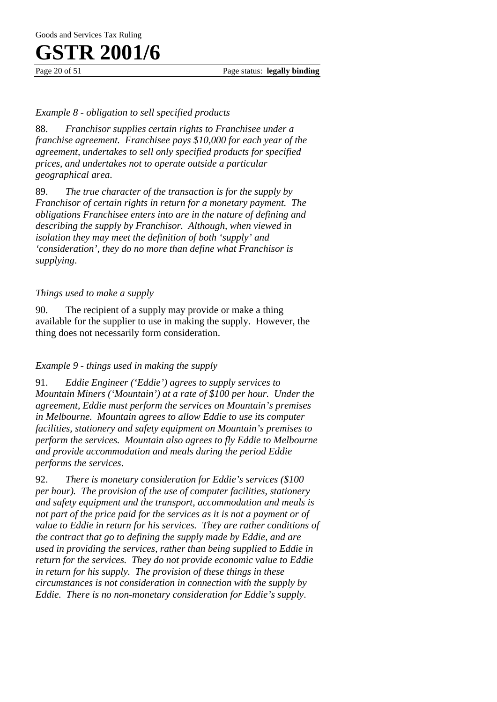Page 20 of 51 Page status: **legally binding** 

#### *Example 8 - obligation to sell specified products*

88. *Franchisor supplies certain rights to Franchisee under a franchise agreement. Franchisee pays \$10,000 for each year of the agreement, undertakes to sell only specified products for specified prices, and undertakes not to operate outside a particular geographical area*.

89. *The true character of the transaction is for the supply by Franchisor of certain rights in return for a monetary payment. The obligations Franchisee enters into are in the nature of defining and describing the supply by Franchisor. Although, when viewed in isolation they may meet the definition of both 'supply' and 'consideration', they do no more than define what Franchisor is supplying*.

#### *Things used to make a supply*

90. The recipient of a supply may provide or make a thing available for the supplier to use in making the supply. However, the thing does not necessarily form consideration.

#### *Example 9 - things used in making the supply*

91. *Eddie Engineer ('Eddie') agrees to supply services to Mountain Miners ('Mountain') at a rate of \$100 per hour. Under the agreement, Eddie must perform the services on Mountain's premises in Melbourne. Mountain agrees to allow Eddie to use its computer facilities, stationery and safety equipment on Mountain's premises to perform the services. Mountain also agrees to fly Eddie to Melbourne and provide accommodation and meals during the period Eddie performs the services*.

92. *There is monetary consideration for Eddie's services (\$100 per hour). The provision of the use of computer facilities, stationery and safety equipment and the transport, accommodation and meals is not part of the price paid for the services as it is not a payment or of value to Eddie in return for his services. They are rather conditions of the contract that go to defining the supply made by Eddie, and are used in providing the services, rather than being supplied to Eddie in return for the services. They do not provide economic value to Eddie in return for his supply. The provision of these things in these circumstances is not consideration in connection with the supply by Eddie. There is no non-monetary consideration for Eddie's supply*.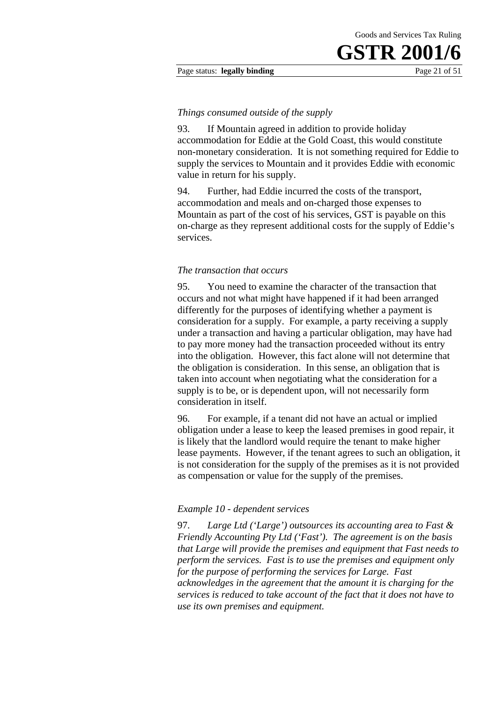#### Page status: **legally binding** Page 21 of 51

#### *Things consumed outside of the supply*

93. If Mountain agreed in addition to provide holiday accommodation for Eddie at the Gold Coast, this would constitute non-monetary consideration. It is not something required for Eddie to supply the services to Mountain and it provides Eddie with economic value in return for his supply.

94. Further, had Eddie incurred the costs of the transport, accommodation and meals and on-charged those expenses to Mountain as part of the cost of his services, GST is payable on this on-charge as they represent additional costs for the supply of Eddie's services.

#### *The transaction that occurs*

95. You need to examine the character of the transaction that occurs and not what might have happened if it had been arranged differently for the purposes of identifying whether a payment is consideration for a supply. For example, a party receiving a supply under a transaction and having a particular obligation, may have had to pay more money had the transaction proceeded without its entry into the obligation. However, this fact alone will not determine that the obligation is consideration. In this sense, an obligation that is taken into account when negotiating what the consideration for a supply is to be, or is dependent upon, will not necessarily form consideration in itself.

96. For example, if a tenant did not have an actual or implied obligation under a lease to keep the leased premises in good repair, it is likely that the landlord would require the tenant to make higher lease payments. However, if the tenant agrees to such an obligation, it is not consideration for the supply of the premises as it is not provided as compensation or value for the supply of the premises.

#### *Example 10 - dependent services*

97. *Large Ltd ('Large') outsources its accounting area to Fast & Friendly Accounting Pty Ltd ('Fast'). The agreement is on the basis that Large will provide the premises and equipment that Fast needs to perform the services. Fast is to use the premises and equipment only for the purpose of performing the services for Large. Fast acknowledges in the agreement that the amount it is charging for the services is reduced to take account of the fact that it does not have to use its own premises and equipment.*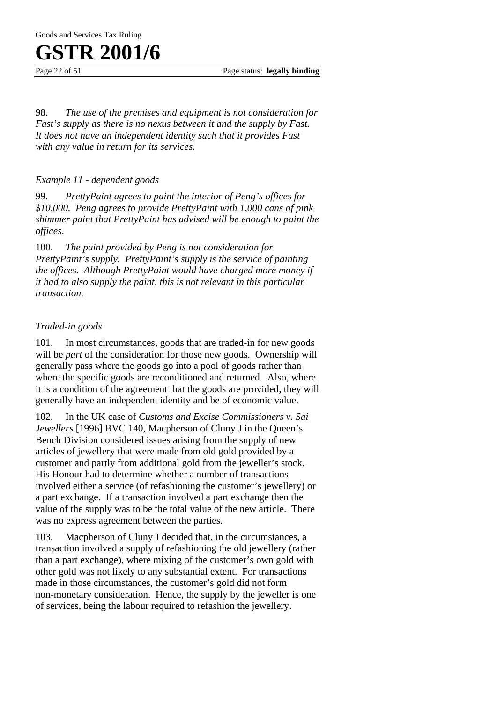Page 22 of 51 Page status: **legally binding** 

98. *The use of the premises and equipment is not consideration for Fast's supply as there is no nexus between it and the supply by Fast. It does not have an independent identity such that it provides Fast with any value in return for its services.* 

*Example 11 - dependent goods* 

99. *PrettyPaint agrees to paint the interior of Peng's offices for \$10,000. Peng agrees to provide PrettyPaint with 1,000 cans of pink shimmer paint that PrettyPaint has advised will be enough to paint the offices*.

100. *The paint provided by Peng is not consideration for PrettyPaint's supply. PrettyPaint's supply is the service of painting the offices. Although PrettyPaint would have charged more money if it had to also supply the paint, this is not relevant in this particular transaction.*

#### *Traded-in goods*

101. In most circumstances, goods that are traded-in for new goods will be *part* of the consideration for those new goods. Ownership will generally pass where the goods go into a pool of goods rather than where the specific goods are reconditioned and returned. Also, where it is a condition of the agreement that the goods are provided, they will generally have an independent identity and be of economic value.

102. In the UK case of *Customs and Excise Commissioners v. Sai Jewellers* [1996] BVC 140, Macpherson of Cluny J in the Queen's Bench Division considered issues arising from the supply of new articles of jewellery that were made from old gold provided by a customer and partly from additional gold from the jeweller's stock. His Honour had to determine whether a number of transactions involved either a service (of refashioning the customer's jewellery) or a part exchange. If a transaction involved a part exchange then the value of the supply was to be the total value of the new article. There was no express agreement between the parties.

103. Macpherson of Cluny J decided that, in the circumstances, a transaction involved a supply of refashioning the old jewellery (rather than a part exchange), where mixing of the customer's own gold with other gold was not likely to any substantial extent. For transactions made in those circumstances, the customer's gold did not form non-monetary consideration. Hence, the supply by the jeweller is one of services, being the labour required to refashion the jewellery.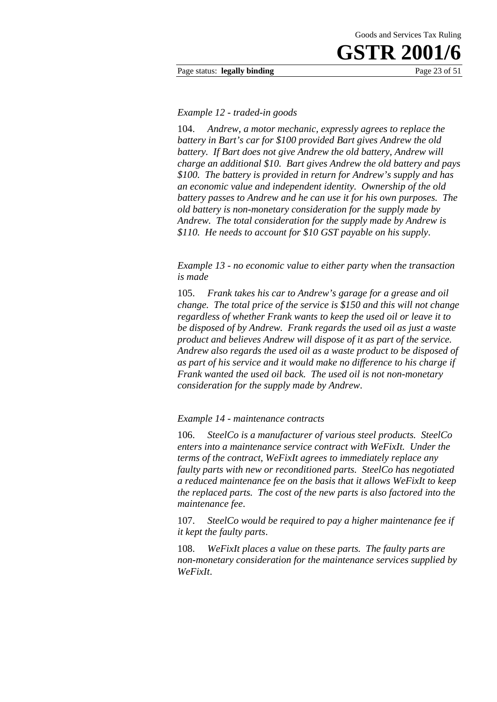#### Page status: **legally binding** Page 23 of 51

#### *Example 12 - traded-in goods*

104. *Andrew, a motor mechanic, expressly agrees to replace the battery in Bart's car for \$100 provided Bart gives Andrew the old battery. If Bart does not give Andrew the old battery, Andrew will charge an additional \$10. Bart gives Andrew the old battery and pays \$100. The battery is provided in return for Andrew's supply and has an economic value and independent identity. Ownership of the old battery passes to Andrew and he can use it for his own purposes. The old battery is non-monetary consideration for the supply made by Andrew. The total consideration for the supply made by Andrew is \$110. He needs to account for \$10 GST payable on his supply*.

*Example 13 - no economic value to either party when the transaction is made* 

105. *Frank takes his car to Andrew's garage for a grease and oil change. The total price of the service is \$150 and this will not change regardless of whether Frank wants to keep the used oil or leave it to be disposed of by Andrew. Frank regards the used oil as just a waste product and believes Andrew will dispose of it as part of the service. Andrew also regards the used oil as a waste product to be disposed of as part of his service and it would make no difference to his charge if Frank wanted the used oil back. The used oil is not non-monetary consideration for the supply made by Andrew*.

#### *Example 14 - maintenance contracts*

106. *SteelCo is a manufacturer of various steel products. SteelCo enters into a maintenance service contract with WeFixIt. Under the terms of the contract, WeFixIt agrees to immediately replace any faulty parts with new or reconditioned parts. SteelCo has negotiated a reduced maintenance fee on the basis that it allows WeFixIt to keep the replaced parts. The cost of the new parts is also factored into the maintenance fee*.

107. *SteelCo would be required to pay a higher maintenance fee if it kept the faulty parts*.

108. *WeFixIt places a value on these parts. The faulty parts are non-monetary consideration for the maintenance services supplied by WeFixIt*.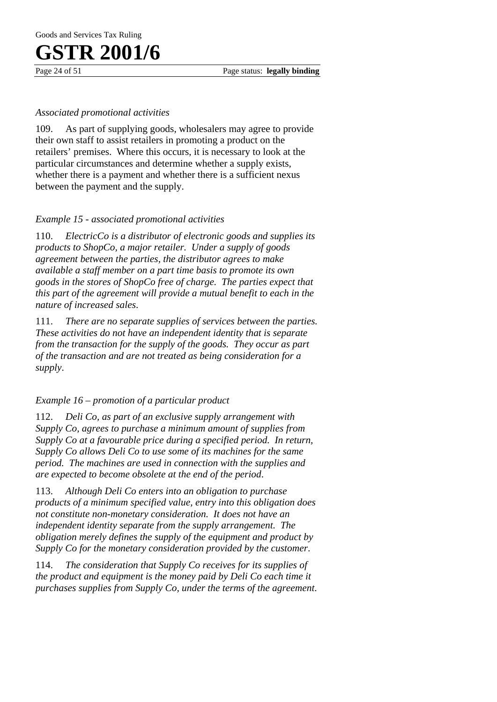Page 24 of 51 Page status: **legally binding** 

#### *Associated promotional activities*

109. As part of supplying goods, wholesalers may agree to provide their own staff to assist retailers in promoting a product on the retailers' premises. Where this occurs, it is necessary to look at the particular circumstances and determine whether a supply exists, whether there is a payment and whether there is a sufficient nexus between the payment and the supply.

#### *Example 15 - associated promotional activities*

110. *ElectricCo is a distributor of electronic goods and supplies its products to ShopCo, a major retailer. Under a supply of goods agreement between the parties, the distributor agrees to make available a staff member on a part time basis to promote its own goods in the stores of ShopCo free of charge. The parties expect that this part of the agreement will provide a mutual benefit to each in the nature of increased sales*.

111. *There are no separate supplies of services between the parties. These activities do not have an independent identity that is separate from the transaction for the supply of the goods. They occur as part of the transaction and are not treated as being consideration for a supply*.

#### *Example 16 – promotion of a particular product*

112. *Deli Co, as part of an exclusive supply arrangement with Supply Co, agrees to purchase a minimum amount of supplies from Supply Co at a favourable price during a specified period. In return, Supply Co allows Deli Co to use some of its machines for the same period. The machines are used in connection with the supplies and are expected to become obsolete at the end of the period*.

113. *Although Deli Co enters into an obligation to purchase products of a minimum specified value, entry into this obligation does not constitute non-monetary consideration. It does not have an independent identity separate from the supply arrangement. The obligation merely defines the supply of the equipment and product by Supply Co for the monetary consideration provided by the customer*.

114. *The consideration that Supply Co receives for its supplies of the product and equipment is the money paid by Deli Co each time it purchases supplies from Supply Co, under the terms of the agreement*.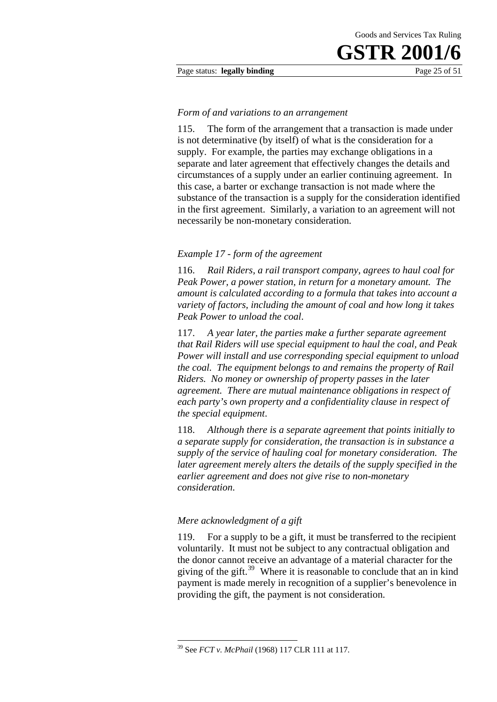#### Page status: **legally binding** Page 25 of 51

#### *Form of and variations to an arrangement*

115. The form of the arrangement that a transaction is made under is not determinative (by itself) of what is the consideration for a supply. For example, the parties may exchange obligations in a separate and later agreement that effectively changes the details and circumstances of a supply under an earlier continuing agreement. In this case, a barter or exchange transaction is not made where the substance of the transaction is a supply for the consideration identified in the first agreement. Similarly, a variation to an agreement will not necessarily be non-monetary consideration.

#### *Example 17 - form of the agreement*

116. *Rail Riders, a rail transport company, agrees to haul coal for Peak Power, a power station, in return for a monetary amount. The amount is calculated according to a formula that takes into account a variety of factors, including the amount of coal and how long it takes Peak Power to unload the coal*.

117. *A year later, the parties make a further separate agreement that Rail Riders will use special equipment to haul the coal, and Peak Power will install and use corresponding special equipment to unload the coal. The equipment belongs to and remains the property of Rail Riders. No money or ownership of property passes in the later agreement. There are mutual maintenance obligations in respect of each party's own property and a confidentiality clause in respect of the special equipment*.

118. *Although there is a separate agreement that points initially to a separate supply for consideration, the transaction is in substance a supply of the service of hauling coal for monetary consideration. The later agreement merely alters the details of the supply specified in the earlier agreement and does not give rise to non-monetary consideration*.

#### *Mere acknowledgment of a gift*

1

119. For a supply to be a gift, it must be transferred to the recipient voluntarily. It must not be subject to any contractual obligation and the donor cannot receive an advantage of a material character for the giving of the gift.<sup>39</sup> Where it is reasonable to conclude that an in kind payment is made merely in recognition of a supplier's benevolence in providing the gift, the payment is not consideration.

<sup>39</sup> See *FCT v. McPhail* (1968) 117 CLR 111 at 117.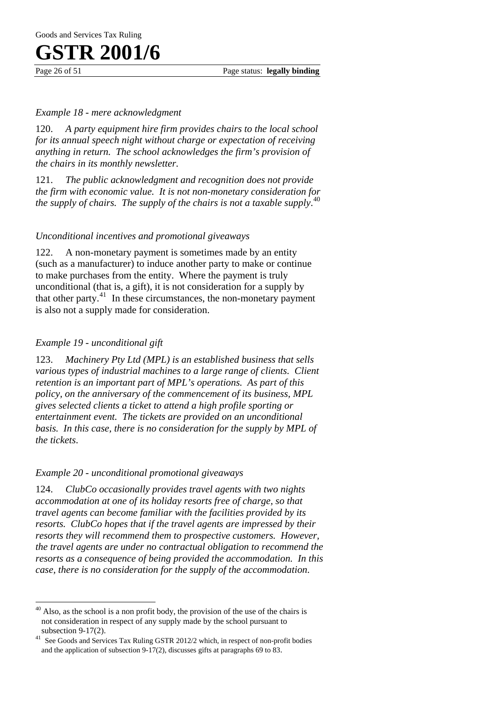Page 26 of 51 Page status: **legally binding** 

#### *Example 18 - mere acknowledgment*

120. *A party equipment hire firm provides chairs to the local school for its annual speech night without charge or expectation of receiving anything in return. The school acknowledges the firm's provision of the chairs in its monthly newsletter*.

121. *The public acknowledgment and recognition does not provide the firm with economic value. It is not non-monetary consideration for the supply of chairs. The supply of the chairs is not a taxable supply*. 40

#### *Unconditional incentives and promotional giveaways*

122. A non-monetary payment is sometimes made by an entity (such as a manufacturer) to induce another party to make or continue to make purchases from the entity. Where the payment is truly unconditional (that is, a gift), it is not consideration for a supply by that other party. $41$  In these circumstances, the non-monetary payment is also not a supply made for consideration.

#### *Example 19 - unconditional gift*

 $\overline{a}$ 

123. *Machinery Pty Ltd (MPL) is an established business that sells various types of industrial machines to a large range of clients. Client retention is an important part of MPL's operations. As part of this policy, on the anniversary of the commencement of its business, MPL gives selected clients a ticket to attend a high profile sporting or entertainment event. The tickets are provided on an unconditional basis. In this case, there is no consideration for the supply by MPL of the tickets*.

#### *Example 20 - unconditional promotional giveaways*

124. *ClubCo occasionally provides travel agents with two nights accommodation at one of its holiday resorts free of charge, so that travel agents can become familiar with the facilities provided by its resorts. ClubCo hopes that if the travel agents are impressed by their resorts they will recommend them to prospective customers. However, the travel agents are under no contractual obligation to recommend the resorts as a consequence of being provided the accommodation. In this case, there is no consideration for the supply of the accommodation*.

 $40$  Also, as the school is a non profit body, the provision of the use of the chairs is not consideration in respect of any supply made by the school pursuant to

subsection 9-17(2).  $41$  See Goods and Services Tax Ruling GSTR 2012/2 which, in respect of non-profit bodies and the application of subsection 9-17(2), discusses gifts at paragraphs 69 to 83.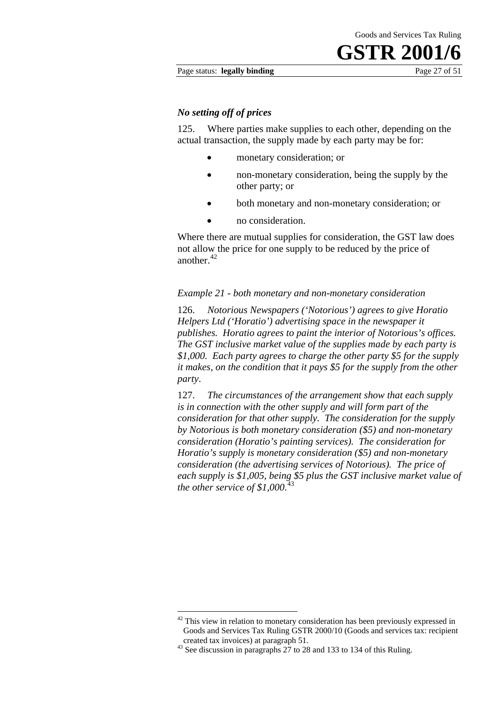#### Page status: **legally binding** Page 27 of 51

#### *No setting off of prices*

125. Where parties make supplies to each other, depending on the actual transaction, the supply made by each party may be for:

- monetary consideration; or
- non-monetary consideration, being the supply by the other party; or
- both monetary and non-monetary consideration; or
- no consideration.

Where there are mutual supplies for consideration, the GST law does not allow the price for one supply to be reduced by the price of another.<sup>42</sup>

#### *Example 21 - both monetary and non-monetary consideration*

126. *Notorious Newspapers ('Notorious') agrees to give Horatio Helpers Ltd ('Horatio') advertising space in the newspaper it publishes. Horatio agrees to paint the interior of Notorious's offices. The GST inclusive market value of the supplies made by each party is \$1,000. Each party agrees to charge the other party \$5 for the supply it makes, on the condition that it pays \$5 for the supply from the other party*.

127. *The circumstances of the arrangement show that each supply is in connection with the other supply and will form part of the consideration for that other supply. The consideration for the supply by Notorious is both monetary consideration (\$5) and non-monetary consideration (Horatio's painting services). The consideration for Horatio's supply is monetary consideration (\$5) and non-monetary consideration (the advertising services of Notorious). The price of each supply is \$1,005, being \$5 plus the GST inclusive market value of the other service of \$1,000*. 43

1

 $42$  This view in relation to monetary consideration has been previously expressed in Goods and Services Tax Ruling GSTR 2000/10 (Goods and services tax: recipient created tax invoices) at paragraph 51. 43 See discussion in paragraphs 27 to 28 and 133 to 134 of this Ruling.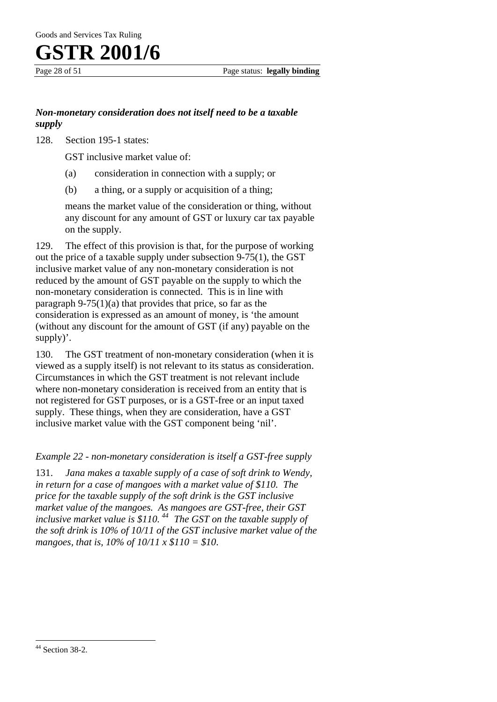Goods and Services Tax Ruling



#### *Non-monetary consideration does not itself need to be a taxable supply*

128. Section 195-1 states:

GST inclusive market value of:

- (a) consideration in connection with a supply; or
- (b) a thing, or a supply or acquisition of a thing;

means the market value of the consideration or thing, without any discount for any amount of GST or luxury car tax payable on the supply.

129. The effect of this provision is that, for the purpose of working out the price of a taxable supply under subsection 9-75(1), the GST inclusive market value of any non-monetary consideration is not reduced by the amount of GST payable on the supply to which the non-monetary consideration is connected. This is in line with paragraph  $9-75(1)(a)$  that provides that price, so far as the consideration is expressed as an amount of money, is 'the amount (without any discount for the amount of GST (if any) payable on the supply)'.

130. The GST treatment of non-monetary consideration (when it is viewed as a supply itself) is not relevant to its status as consideration. Circumstances in which the GST treatment is not relevant include where non-monetary consideration is received from an entity that is not registered for GST purposes, or is a GST-free or an input taxed supply. These things, when they are consideration, have a GST inclusive market value with the GST component being 'nil'.

#### *Example 22 - non-monetary consideration is itself a GST-free supply*

131. *Jana makes a taxable supply of a case of soft drink to Wendy, in return for a case of mangoes with a market value of \$110. The price for the taxable supply of the soft drink is the GST inclusive market value of the mangoes. As mangoes are GST-free, their GST inclusive market value is \$110. 44 The GST on the taxable supply of the soft drink is 10% of 10/11 of the GST inclusive market value of the mangoes, that is, 10% of 10/11 x \$110 = \$10*.

 $\overline{a}$ 

 $44$  Section 38-2.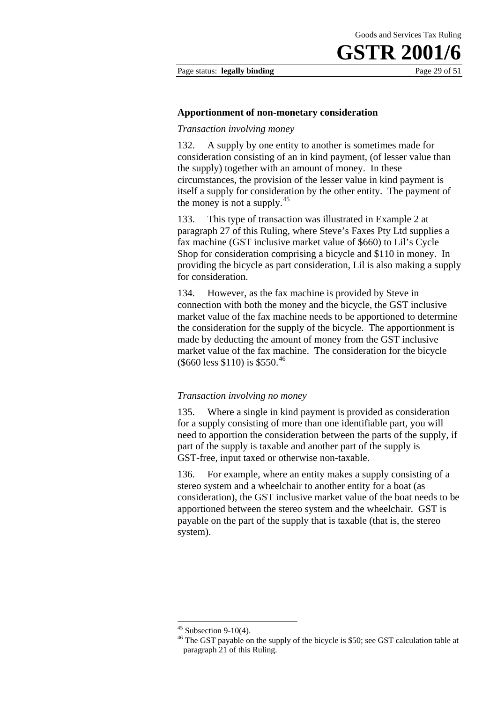Page status: **legally binding** Page 29 of 51

#### **Apportionment of non-monetary consideration**

#### *Transaction involving money*

132. A supply by one entity to another is sometimes made for consideration consisting of an in kind payment, (of lesser value than the supply) together with an amount of money. In these circumstances, the provision of the lesser value in kind payment is itself a supply for consideration by the other entity. The payment of the money is not a supply.<sup>45</sup>

133. This type of transaction was illustrated in Example 2 at paragraph 27 of this Ruling, where Steve's Faxes Pty Ltd supplies a fax machine (GST inclusive market value of \$660) to Lil's Cycle Shop for consideration comprising a bicycle and \$110 in money. In providing the bicycle as part consideration, Lil is also making a supply for consideration.

134. However, as the fax machine is provided by Steve in connection with both the money and the bicycle, the GST inclusive market value of the fax machine needs to be apportioned to determine the consideration for the supply of the bicycle. The apportionment is made by deducting the amount of money from the GST inclusive market value of the fax machine. The consideration for the bicycle  $($ \$660 less \$110) is \$550.<sup>46</sup>

#### *Transaction involving no money*

135. Where a single in kind payment is provided as consideration for a supply consisting of more than one identifiable part, you will need to apportion the consideration between the parts of the supply, if part of the supply is taxable and another part of the supply is GST-free, input taxed or otherwise non-taxable.

136. For example, where an entity makes a supply consisting of a stereo system and a wheelchair to another entity for a boat (as consideration), the GST inclusive market value of the boat needs to be apportioned between the stereo system and the wheelchair. GST is payable on the part of the supply that is taxable (that is, the stereo system).

1

 $45$  Subsection 9-10(4).

<sup>&</sup>lt;sup>46</sup> The GST payable on the supply of the bicycle is \$50; see GST calculation table at paragraph 21 of this Ruling.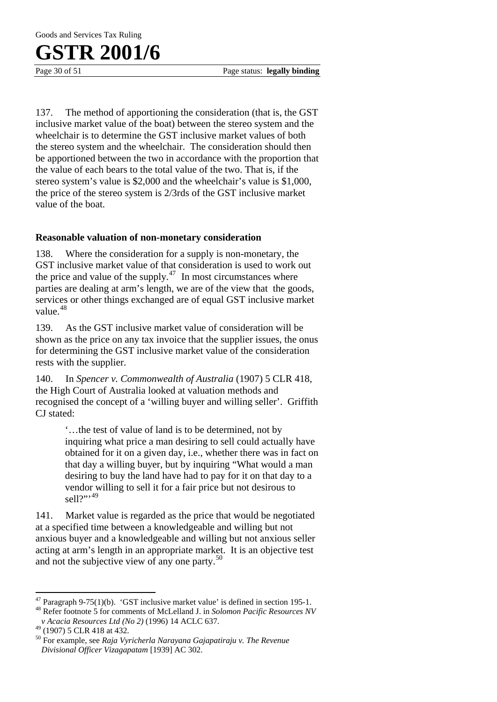Goods and Services Tax Ruling

### **GSTR 2001/6**

Page 30 of 51 Page status: **legally binding** 

137. The method of apportioning the consideration (that is, the GST inclusive market value of the boat) between the stereo system and the wheelchair is to determine the GST inclusive market values of both the stereo system and the wheelchair. The consideration should then be apportioned between the two in accordance with the proportion that the value of each bears to the total value of the two. That is, if the stereo system's value is \$2,000 and the wheelchair's value is \$1,000, the price of the stereo system is 2/3rds of the GST inclusive market value of the boat.

#### **Reasonable valuation of non-monetary consideration**

138. Where the consideration for a supply is non-monetary, the GST inclusive market value of that consideration is used to work out the price and value of the supply. $47$  In most circumstances where parties are dealing at arm's length, we are of the view that the goods, services or other things exchanged are of equal GST inclusive market value.<sup>48</sup>

139. As the GST inclusive market value of consideration will be shown as the price on any tax invoice that the supplier issues, the onus for determining the GST inclusive market value of the consideration rests with the supplier.

140. In *Spencer v. Commonwealth of Australia* (1907) 5 CLR 418, the High Court of Australia looked at valuation methods and recognised the concept of a 'willing buyer and willing seller'. Griffith CJ stated:

> '…the test of value of land is to be determined, not by inquiring what price a man desiring to sell could actually have obtained for it on a given day, i.e., whether there was in fact on that day a willing buyer, but by inquiring "What would a man desiring to buy the land have had to pay for it on that day to a vendor willing to sell it for a fair price but not desirous to  $\text{sell}^{2}$ <sup>19</sup>

141. Market value is regarded as the price that would be negotiated at a specified time between a knowledgeable and willing but not anxious buyer and a knowledgeable and willing but not anxious seller acting at arm's length in an appropriate market. It is an objective test and not the subjective view of any one party.<sup>50</sup>

 $\overline{a}$ <sup>47</sup> Paragraph 9-75(1)(b). 'GST inclusive market value' is defined in section 195-1.

<sup>48</sup> Refer footnote 5 for comments of McLelland J. in *Solomon Pacific Resources NV v Acacia Resources Ltd (No 2)* (1996) 14 ACLC 637.

 $^{49}$  (1907) 5 CLR 418 at 432.

<sup>50</sup> For example, see *Raja Vyricherla Narayana Gajapatiraju v. The Revenue Divisional Officer Vizagapatam* [1939] AC 302.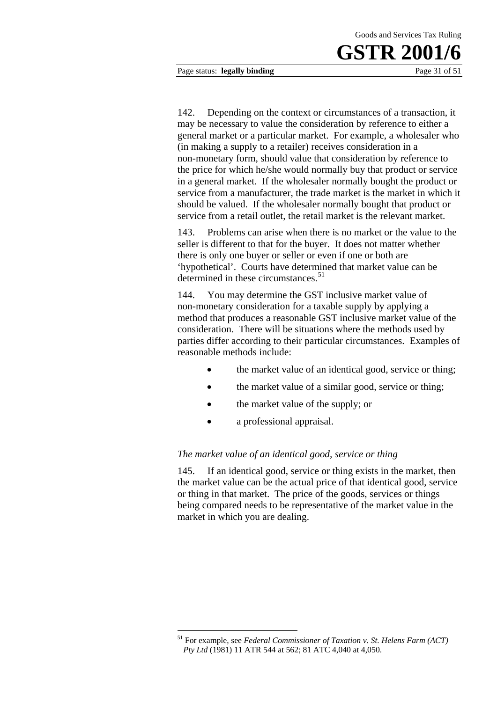Page status: **legally binding** Page 31 of 51

142. Depending on the context or circumstances of a transaction, it may be necessary to value the consideration by reference to either a general market or a particular market. For example, a wholesaler who (in making a supply to a retailer) receives consideration in a non-monetary form, should value that consideration by reference to the price for which he/she would normally buy that product or service in a general market. If the wholesaler normally bought the product or service from a manufacturer, the trade market is the market in which it should be valued. If the wholesaler normally bought that product or service from a retail outlet, the retail market is the relevant market.

143. Problems can arise when there is no market or the value to the seller is different to that for the buyer. It does not matter whether there is only one buyer or seller or even if one or both are 'hypothetical'. Courts have determined that market value can be determined in these circumstances.<sup>51</sup>

144. You may determine the GST inclusive market value of non-monetary consideration for a taxable supply by applying a method that produces a reasonable GST inclusive market value of the consideration. There will be situations where the methods used by parties differ according to their particular circumstances. Examples of reasonable methods include:

- the market value of an identical good, service or thing;
- the market value of a similar good, service or thing;
- the market value of the supply; or
- a professional appraisal.

#### *The market value of an identical good, service or thing*

145. If an identical good, service or thing exists in the market, then the market value can be the actual price of that identical good, service or thing in that market. The price of the goods, services or things being compared needs to be representative of the market value in the market in which you are dealing.

<sup>1</sup> 51 For example, see *Federal Commissioner of Taxation v. St. Helens Farm (ACT) Pty Ltd* (1981) 11 ATR 544 at 562; 81 ATC 4,040 at 4,050.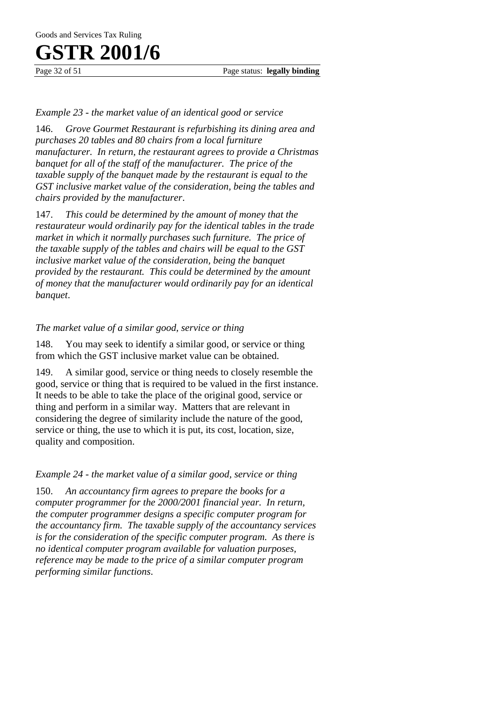Page 32 of 51 Page status: **legally binding** 

#### *Example 23 - the market value of an identical good or service*

146. *Grove Gourmet Restaurant is refurbishing its dining area and purchases 20 tables and 80 chairs from a local furniture manufacturer. In return, the restaurant agrees to provide a Christmas banquet for all of the staff of the manufacturer. The price of the taxable supply of the banquet made by the restaurant is equal to the GST inclusive market value of the consideration, being the tables and chairs provided by the manufacturer*.

147. *This could be determined by the amount of money that the restaurateur would ordinarily pay for the identical tables in the trade market in which it normally purchases such furniture. The price of the taxable supply of the tables and chairs will be equal to the GST inclusive market value of the consideration, being the banquet provided by the restaurant. This could be determined by the amount of money that the manufacturer would ordinarily pay for an identical banquet*.

#### *The market value of a similar good, service or thing*

148. You may seek to identify a similar good, or service or thing from which the GST inclusive market value can be obtained.

A similar good, service or thing needs to closely resemble the good, service or thing that is required to be valued in the first instance. It needs to be able to take the place of the original good, service or thing and perform in a similar way. Matters that are relevant in considering the degree of similarity include the nature of the good, service or thing, the use to which it is put, its cost, location, size, quality and composition.

*Example 24 - the market value of a similar good, service or thing* 

150. *An accountancy firm agrees to prepare the books for a computer programmer for the 2000/2001 financial year. In return, the computer programmer designs a specific computer program for the accountancy firm. The taxable supply of the accountancy services is for the consideration of the specific computer program. As there is no identical computer program available for valuation purposes, reference may be made to the price of a similar computer program performing similar functions*.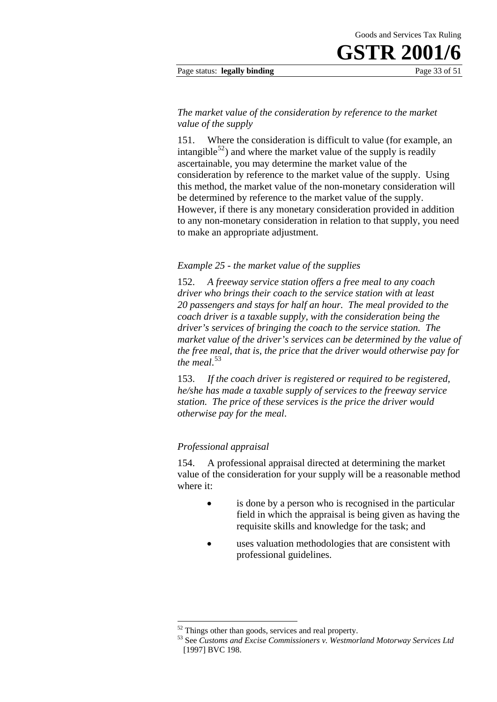#### Page status: **legally binding** Page 33 of 51

#### *The market value of the consideration by reference to the market value of the supply*

151. Where the consideration is difficult to value (for example, an intangible<sup>52</sup>) and where the market value of the supply is readily ascertainable, you may determine the market value of the consideration by reference to the market value of the supply. Using this method, the market value of the non-monetary consideration will be determined by reference to the market value of the supply. However, if there is any monetary consideration provided in addition to any non-monetary consideration in relation to that supply, you need to make an appropriate adjustment.

#### *Example 25 - the market value of the supplies*

152. *A freeway service station offers a free meal to any coach driver who brings their coach to the service station with at least 20 passengers and stays for half an hour. The meal provided to the coach driver is a taxable supply, with the consideration being the driver's services of bringing the coach to the service station. The market value of the driver's services can be determined by the value of the free meal, that is, the price that the driver would otherwise pay for the meal*. 53

153. *If the coach driver is registered or required to be registered, he/she has made a taxable supply of services to the freeway service station. The price of these services is the price the driver would otherwise pay for the meal*.

#### *Professional appraisal*

1

154. A professional appraisal directed at determining the market value of the consideration for your supply will be a reasonable method where it:

- is done by a person who is recognised in the particular field in which the appraisal is being given as having the requisite skills and knowledge for the task; and
- uses valuation methodologies that are consistent with professional guidelines.

<sup>&</sup>lt;sup>52</sup> Things other than goods, services and real property.<br><sup>53</sup> See *Customs and Excise Commissioners v. Westmorland Motorway Services Ltd* [1997] BVC 198.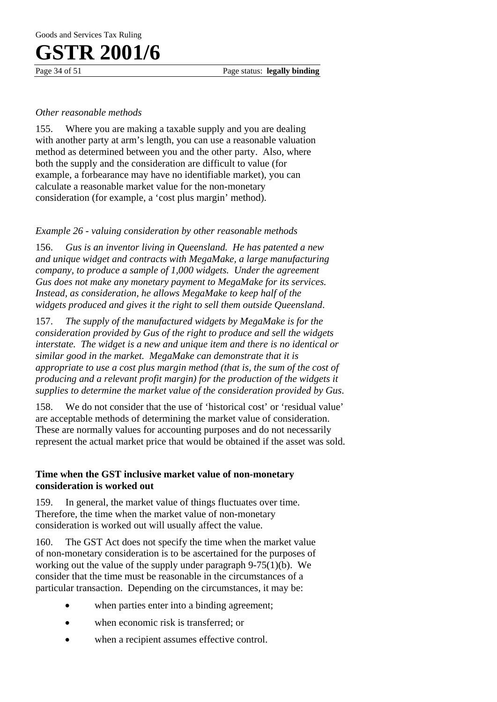Page 34 of 51 Page status: **legally binding** 

#### *Other reasonable methods*

155. Where you are making a taxable supply and you are dealing with another party at arm's length, you can use a reasonable valuation method as determined between you and the other party. Also, where both the supply and the consideration are difficult to value (for example, a forbearance may have no identifiable market), you can calculate a reasonable market value for the non-monetary consideration (for example, a 'cost plus margin' method).

#### *Example 26 - valuing consideration by other reasonable methods*

156. *Gus is an inventor living in Queensland. He has patented a new and unique widget and contracts with MegaMake, a large manufacturing company, to produce a sample of 1,000 widgets. Under the agreement Gus does not make any monetary payment to MegaMake for its services. Instead, as consideration, he allows MegaMake to keep half of the widgets produced and gives it the right to sell them outside Queensland*.

157. *The supply of the manufactured widgets by MegaMake is for the consideration provided by Gus of the right to produce and sell the widgets interstate. The widget is a new and unique item and there is no identical or similar good in the market. MegaMake can demonstrate that it is appropriate to use a cost plus margin method (that is, the sum of the cost of producing and a relevant profit margin) for the production of the widgets it supplies to determine the market value of the consideration provided by Gus*.

158. We do not consider that the use of 'historical cost' or 'residual value' are acceptable methods of determining the market value of consideration. These are normally values for accounting purposes and do not necessarily represent the actual market price that would be obtained if the asset was sold.

#### **Time when the GST inclusive market value of non-monetary consideration is worked out**

159. In general, the market value of things fluctuates over time. Therefore, the time when the market value of non-monetary consideration is worked out will usually affect the value.

160. The GST Act does not specify the time when the market value of non-monetary consideration is to be ascertained for the purposes of working out the value of the supply under paragraph 9-75(1)(b). We consider that the time must be reasonable in the circumstances of a particular transaction. Depending on the circumstances, it may be:

- when parties enter into a binding agreement;
- when economic risk is transferred; or
- when a recipient assumes effective control.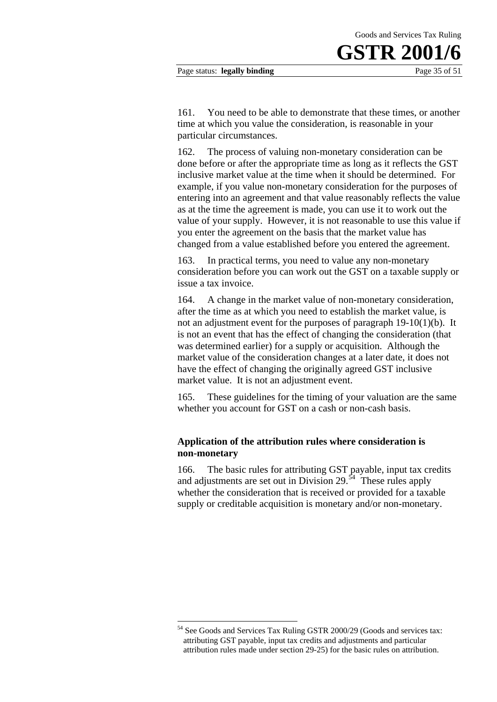#### Page status: **legally binding** Page 35 of 51

161. You need to be able to demonstrate that these times, or another time at which you value the consideration, is reasonable in your particular circumstances.

162. The process of valuing non-monetary consideration can be done before or after the appropriate time as long as it reflects the GST inclusive market value at the time when it should be determined. For example, if you value non-monetary consideration for the purposes of entering into an agreement and that value reasonably reflects the value as at the time the agreement is made, you can use it to work out the value of your supply. However, it is not reasonable to use this value if you enter the agreement on the basis that the market value has changed from a value established before you entered the agreement.

163. In practical terms, you need to value any non-monetary consideration before you can work out the GST on a taxable supply or issue a tax invoice.

164. A change in the market value of non-monetary consideration, after the time as at which you need to establish the market value, is not an adjustment event for the purposes of paragraph 19-10(1)(b). It is not an event that has the effect of changing the consideration (that was determined earlier) for a supply or acquisition. Although the market value of the consideration changes at a later date, it does not have the effect of changing the originally agreed GST inclusive market value. It is not an adjustment event.

165. These guidelines for the timing of your valuation are the same whether you account for GST on a cash or non-cash basis.

#### **Application of the attribution rules where consideration is non-monetary**

166. The basic rules for attributing GST payable, input tax credits and adjustments are set out in Division 29. $\overline{54}$  These rules apply whether the consideration that is received or provided for a taxable supply or creditable acquisition is monetary and/or non-monetary.

1

See Goods and Services Tax Ruling GSTR 2000/29 (Goods and services tax: attributing GST payable, input tax credits and adjustments and particular attribution rules made under section 29-25) for the basic rules on attribution.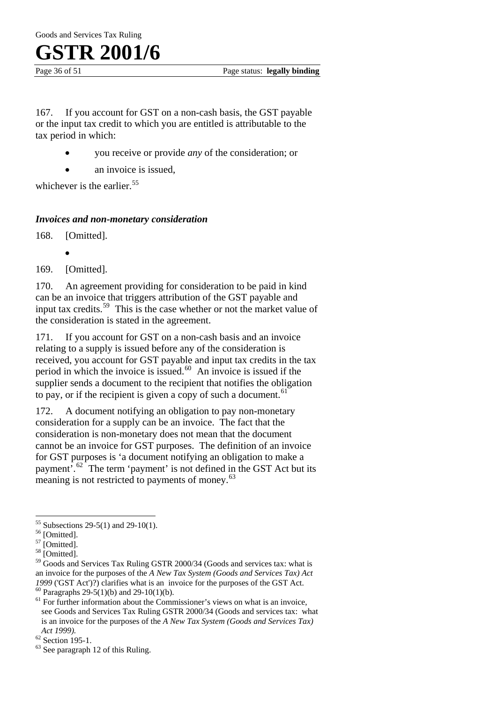Page 36 of 51 Page status: **legally binding** 

167. If you account for GST on a non-cash basis, the GST payable or the input tax credit to which you are entitled is attributable to the tax period in which:

- you receive or provide *any* of the consideration; or
- an invoice is issued,

whichever is the earlier.<sup>55</sup>

#### *Invoices and non-monetary consideration*

168. [Omitted].

169. [Omitted].

170. An agreement providing for consideration to be paid in kind can be an invoice that triggers attribution of the GST payable and input tax credits.<sup>59</sup> This is the case whether or not the market value of the consideration is stated in the agreement.

171. If you account for GST on a non-cash basis and an invoice relating to a supply is issued before any of the consideration is received, you account for GST payable and input tax credits in the tax period in which the invoice is issued.<sup>60</sup> An invoice is issued if the supplier sends a document to the recipient that notifies the obligation to pay, or if the recipient is given a copy of such a document.  $61$ 

172. A document notifying an obligation to pay non-monetary consideration for a supply can be an invoice. The fact that the consideration is non-monetary does not mean that the document cannot be an invoice for GST purposes. The definition of an invoice for GST purposes is 'a document notifying an obligation to make a payment'.62 The term 'payment' is not defined in the GST Act but its meaning is not restricted to payments of money. $63$ 

 $\overline{a}$ 

<sup>•</sup>

 $55$  Subsections 29-5(1) and 29-10(1).

<sup>&</sup>lt;sup>56</sup> [Omitted].

<sup>&</sup>lt;sup>57</sup> [Omitted].

<sup>&</sup>lt;sup>58</sup> [Omitted].

<sup>&</sup>lt;sup>59</sup> Goods and Services Tax Ruling GSTR 2000/34 (Goods and services tax: what is an invoice for the purposes of the *A New Tax System (Goods and Services Tax) Act 1999* ('GST Act')?) clarifies what is an invoice for the purposes of the GST Act. <sup>60</sup> Paragraphs 29-5(1)(b) and 29-10(1)(b).

 $<sup>61</sup>$  For further information about the Commissioner's views on what is an invoice,</sup> see Goods and Services Tax Ruling GSTR 2000/34 (Goods and services tax: what is an invoice for the purposes of the *A New Tax System (Goods and Services Tax) Act 1999*).<br><sup>62</sup> Section 195-1.

 $63$  See paragraph 12 of this Ruling.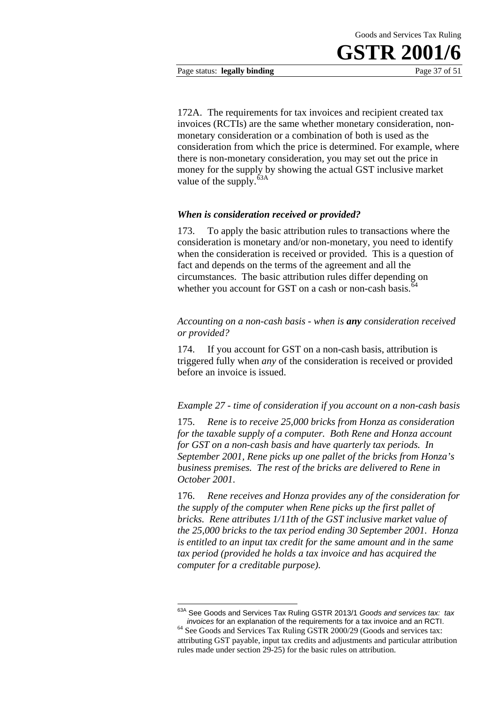

172A. The requirements for tax invoices and recipient created tax invoices (RCTIs) are the same whether monetary consideration, nonmonetary consideration or a combination of both is used as the consideration from which the price is determined. For example, where there is non-monetary consideration, you may set out the price in money for the supply by showing the actual GST inclusive market value of the supply. $63A$ 

#### *When is consideration received or provided?*

173. To apply the basic attribution rules to transactions where the consideration is monetary and/or non-monetary, you need to identify when the consideration is received or provided. This is a question of fact and depends on the terms of the agreement and all the circumstances. The basic attribution rules differ depending on whether you account for GST on a cash or non-cash basis.<sup>64</sup>

#### *Accounting on a non-cash basis - when is any consideration received or provided?*

174. If you account for GST on a non-cash basis, attribution is triggered fully when *any* of the consideration is received or provided before an invoice is issued.

#### *Example 27 - time of consideration if you account on a non-cash basis*

175. *Rene is to receive 25,000 bricks from Honza as consideration for the taxable supply of a computer. Both Rene and Honza account for GST on a non-cash basis and have quarterly tax periods. In September 2001, Rene picks up one pallet of the bricks from Honza's business premises. The rest of the bricks are delivered to Rene in October 2001*.

176. *Rene receives and Honza provides any of the consideration for the supply of the computer when Rene picks up the first pallet of bricks. Rene attributes 1/11th of the GST inclusive market value of the 25,000 bricks to the tax period ending 30 September 2001. Honza is entitled to an input tax credit for the same amount and in the same tax period (provided he holds a tax invoice and has acquired the computer for a creditable purpose)*.

<u>.</u>

<sup>63</sup>A See Goods and Services Tax Ruling GSTR 2013/1 *Goods and services tax: tax* 

*invoices* for an explanation of the requirements for a tax invoice and an RCTI. 64 See Goods and Services Tax Ruling GSTR 2000/29 (Goods and services tax: attributing GST payable, input tax credits and adjustments and particular attribution rules made under section 29-25) for the basic rules on attribution.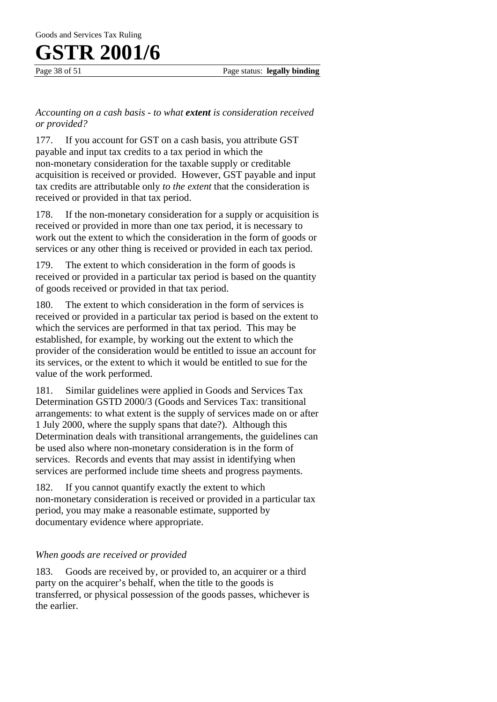Page 38 of 51 Page status: **legally binding** 

#### *Accounting on a cash basis - to what extent is consideration received or provided?*

177. If you account for GST on a cash basis, you attribute GST payable and input tax credits to a tax period in which the non-monetary consideration for the taxable supply or creditable acquisition is received or provided. However, GST payable and input tax credits are attributable only *to the extent* that the consideration is received or provided in that tax period.

178. If the non-monetary consideration for a supply or acquisition is received or provided in more than one tax period, it is necessary to work out the extent to which the consideration in the form of goods or services or any other thing is received or provided in each tax period.

179. The extent to which consideration in the form of goods is received or provided in a particular tax period is based on the quantity of goods received or provided in that tax period.

180. The extent to which consideration in the form of services is received or provided in a particular tax period is based on the extent to which the services are performed in that tax period. This may be established, for example, by working out the extent to which the provider of the consideration would be entitled to issue an account for its services, or the extent to which it would be entitled to sue for the value of the work performed.

181. Similar guidelines were applied in Goods and Services Tax Determination GSTD 2000/3 (Goods and Services Tax: transitional arrangements: to what extent is the supply of services made on or after 1 July 2000, where the supply spans that date?). Although this Determination deals with transitional arrangements, the guidelines can be used also where non-monetary consideration is in the form of services. Records and events that may assist in identifying when services are performed include time sheets and progress payments.

182. If you cannot quantify exactly the extent to which non-monetary consideration is received or provided in a particular tax period, you may make a reasonable estimate, supported by documentary evidence where appropriate.

#### *When goods are received or provided*

183. Goods are received by, or provided to, an acquirer or a third party on the acquirer's behalf, when the title to the goods is transferred, or physical possession of the goods passes, whichever is the earlier.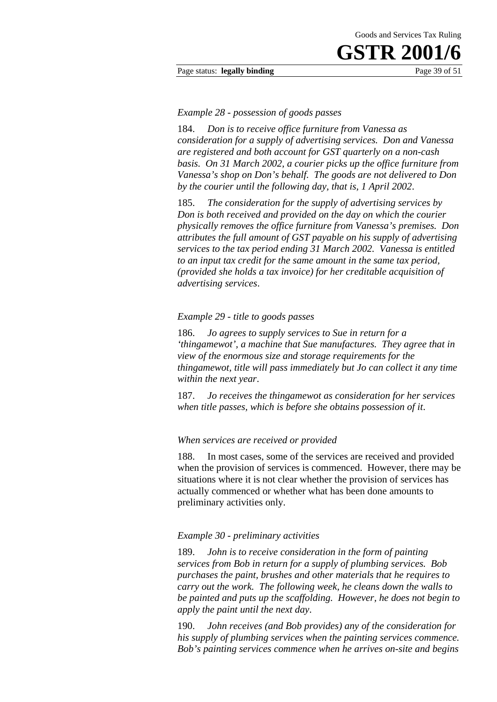#### Page status: **legally binding** Page 39 of 51

#### *Example 28 - possession of goods passes*

184. *Don is to receive office furniture from Vanessa as consideration for a supply of advertising services. Don and Vanessa are registered and both account for GST quarterly on a non-cash basis. On 31 March 2002, a courier picks up the office furniture from Vanessa's shop on Don's behalf. The goods are not delivered to Don by the courier until the following day, that is, 1 April 2002*.

185. *The consideration for the supply of advertising services by Don is both received and provided on the day on which the courier physically removes the office furniture from Vanessa's premises. Don attributes the full amount of GST payable on his supply of advertising services to the tax period ending 31 March 2002. Vanessa is entitled to an input tax credit for the same amount in the same tax period, (provided she holds a tax invoice) for her creditable acquisition of advertising services*.

#### *Example 29 - title to goods passes*

186. *Jo agrees to supply services to Sue in return for a 'thingamewot', a machine that Sue manufactures. They agree that in view of the enormous size and storage requirements for the thingamewot, title will pass immediately but Jo can collect it any time within the next year*.

187. *Jo receives the thingamewot as consideration for her services when title passes, which is before she obtains possession of it*.

#### *When services are received or provided*

188. In most cases, some of the services are received and provided when the provision of services is commenced. However, there may be situations where it is not clear whether the provision of services has actually commenced or whether what has been done amounts to preliminary activities only.

#### *Example 30 - preliminary activities*

189. *John is to receive consideration in the form of painting services from Bob in return for a supply of plumbing services. Bob purchases the paint, brushes and other materials that he requires to carry out the work. The following week, he cleans down the walls to be painted and puts up the scaffolding. However, he does not begin to apply the paint until the next day*.

190. *John receives (and Bob provides) any of the consideration for his supply of plumbing services when the painting services commence. Bob's painting services commence when he arrives on-site and begins*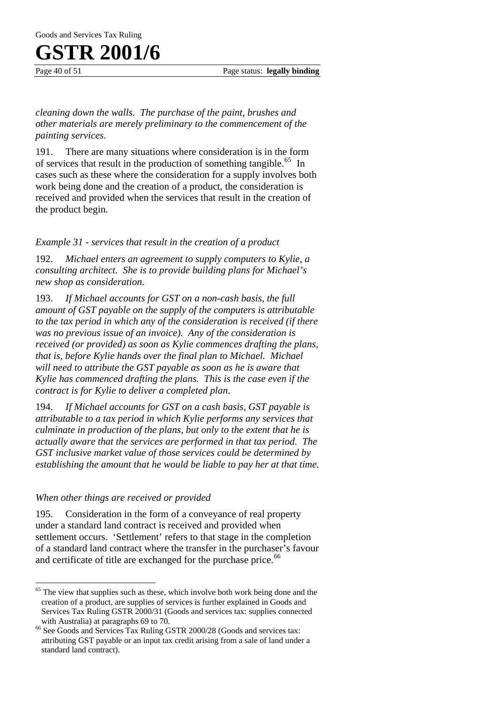Page 40 of 51 Page status: **legally binding** 

*cleaning down the walls. The purchase of the paint, brushes and other materials are merely preliminary to the commencement of the painting services*.

191. There are many situations where consideration is in the form of services that result in the production of something tangible.<sup>65</sup> In cases such as these where the consideration for a supply involves both work being done and the creation of a product, the consideration is received and provided when the services that result in the creation of the product begin.

#### *Example 31 - services that result in the creation of a product*

192. *Michael enters an agreement to supply computers to Kylie, a consulting architect. She is to provide building plans for Michael's new shop as consideration*.

193. *If Michael accounts for GST on a non-cash basis, the full amount of GST payable on the supply of the computers is attributable to the tax period in which any of the consideration is received (if there was no previous issue of an invoice). Any of the consideration is received (or provided) as soon as Kylie commences drafting the plans, that is, before Kylie hands over the final plan to Michael. Michael will need to attribute the GST payable as soon as he is aware that Kylie has commenced drafting the plans. This is the case even if the contract is for Kylie to deliver a completed plan*.

194. *If Michael accounts for GST on a cash basis, GST payable is attributable to a tax period in which Kylie performs any services that culminate in production of the plans, but only to the extent that he is actually aware that the services are performed in that tax period. The GST inclusive market value of those services could be determined by establishing the amount that he would be liable to pay her at that time.*

#### *When other things are received or provided*

195. Consideration in the form of a conveyance of real property under a standard land contract is received and provided when settlement occurs. 'Settlement' refers to that stage in the completion of a standard land contract where the transfer in the purchaser's favour and certificate of title are exchanged for the purchase price.<sup>66</sup>

 $\overline{a}$ <sup>65</sup> The view that supplies such as these, which involve both work being done and the creation of a product, are supplies of services is further explained in Goods and Services Tax Ruling GSTR 2000/31 (Goods and services tax: supplies connected

with Australia) at paragraphs 69 to 70. <sup>66</sup> See Goods and Services Tax Ruling GSTR 2000/28 (Goods and services tax: attributing GST payable or an input tax credit arising from a sale of land under a standard land contract).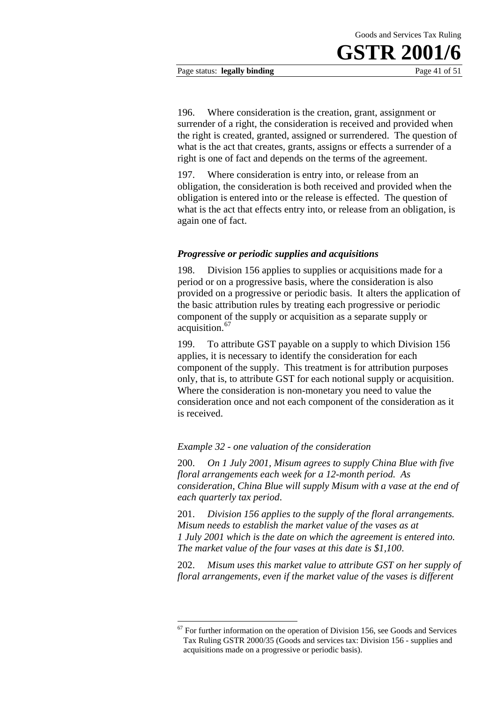Page status: **legally binding** Page 41 of 51

196. Where consideration is the creation, grant, assignment or surrender of a right, the consideration is received and provided when the right is created, granted, assigned or surrendered. The question of what is the act that creates, grants, assigns or effects a surrender of a right is one of fact and depends on the terms of the agreement.

197. Where consideration is entry into, or release from an obligation, the consideration is both received and provided when the obligation is entered into or the release is effected. The question of what is the act that effects entry into, or release from an obligation, is again one of fact.

#### *Progressive or periodic supplies and acquisitions*

198. Division 156 applies to supplies or acquisitions made for a period or on a progressive basis, where the consideration is also provided on a progressive or periodic basis. It alters the application of the basic attribution rules by treating each progressive or periodic component of the supply or acquisition as a separate supply or acquisition.<sup>67</sup>

199. To attribute GST payable on a supply to which Division 156 applies, it is necessary to identify the consideration for each component of the supply. This treatment is for attribution purposes only, that is, to attribute GST for each notional supply or acquisition. Where the consideration is non-monetary you need to value the consideration once and not each component of the consideration as it is received.

#### *Example 32 - one valuation of the consideration*

1

200. *On 1 July 2001, Misum agrees to supply China Blue with five floral arrangements each week for a 12-month period. As consideration, China Blue will supply Misum with a vase at the end of each quarterly tax period*.

201. *Division 156 applies to the supply of the floral arrangements. Misum needs to establish the market value of the vases as at 1 July 2001 which is the date on which the agreement is entered into. The market value of the four vases at this date is \$1,100*.

202. *Misum uses this market value to attribute GST on her supply of floral arrangements, even if the market value of the vases is different* 

 $67$  For further information on the operation of Division 156, see Goods and Services Tax Ruling GSTR 2000/35 (Goods and services tax: Division 156 - supplies and acquisitions made on a progressive or periodic basis).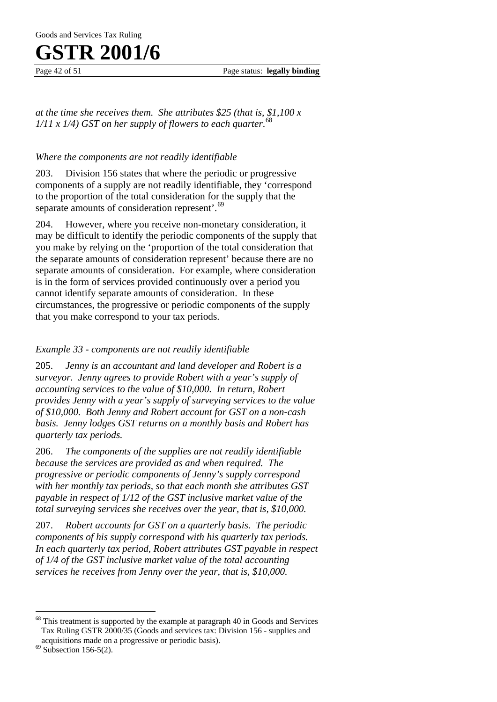Page 42 of 51 Page status: **legally binding** 

*at the time she receives them. She attributes \$25 (that is, \$1,100 x*   $1/11 \times 1/4$ ) GST on her supply of flowers to each quarter.<sup>68</sup>

#### *Where the components are not readily identifiable*

203. Division 156 states that where the periodic or progressive components of a supply are not readily identifiable, they 'correspond to the proportion of the total consideration for the supply that the separate amounts of consideration represent'.<sup>69</sup>

204. However, where you receive non-monetary consideration, it may be difficult to identify the periodic components of the supply that you make by relying on the 'proportion of the total consideration that the separate amounts of consideration represent' because there are no separate amounts of consideration. For example, where consideration is in the form of services provided continuously over a period you cannot identify separate amounts of consideration. In these circumstances, the progressive or periodic components of the supply that you make correspond to your tax periods.

#### *Example 33 - components are not readily identifiable*

205. *Jenny is an accountant and land developer and Robert is a surveyor. Jenny agrees to provide Robert with a year's supply of accounting services to the value of \$10,000. In return, Robert provides Jenny with a year's supply of surveying services to the value of \$10,000. Both Jenny and Robert account for GST on a non-cash basis. Jenny lodges GST returns on a monthly basis and Robert has quarterly tax periods.*

206. *The components of the supplies are not readily identifiable because the services are provided as and when required. The progressive or periodic components of Jenny's supply correspond with her monthly tax periods, so that each month she attributes GST payable in respect of 1/12 of the GST inclusive market value of the total surveying services she receives over the year, that is, \$10,000.* 

207. *Robert accounts for GST on a quarterly basis. The periodic components of his supply correspond with his quarterly tax periods. In each quarterly tax period, Robert attributes GST payable in respect of 1/4 of the GST inclusive market value of the total accounting services he receives from Jenny over the year, that is, \$10,000.*

 $\overline{a}$ 

<sup>&</sup>lt;sup>68</sup> This treatment is supported by the example at paragraph 40 in Goods and Services Tax Ruling GSTR 2000/35 (Goods and services tax: Division 156 - supplies and acquisitions made on a progressive or periodic basis). 69 Subsection 156-5(2).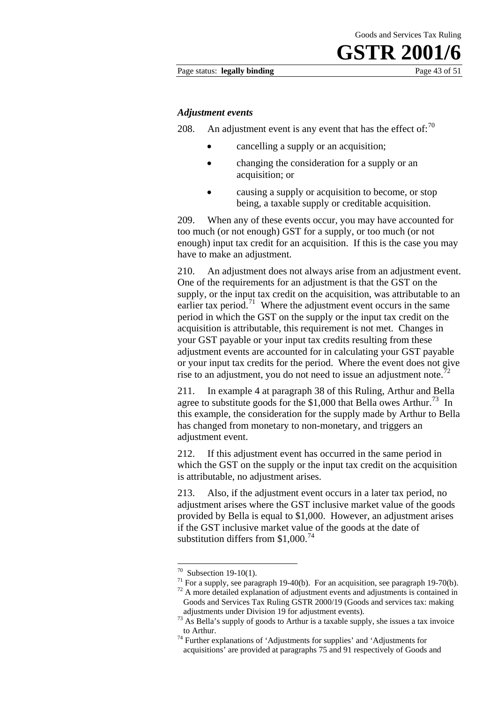#### Page status: **legally binding** Page 43 of 51

#### *Adjustment events*

208. An adjustment event is any event that has the effect of:  $70$ 

- cancelling a supply or an acquisition;
- changing the consideration for a supply or an acquisition; or
- causing a supply or acquisition to become, or stop being, a taxable supply or creditable acquisition.

209. When any of these events occur, you may have accounted for too much (or not enough) GST for a supply, or too much (or not enough) input tax credit for an acquisition. If this is the case you may have to make an adjustment.

210. An adjustment does not always arise from an adjustment event. One of the requirements for an adjustment is that the GST on the supply, or the input tax credit on the acquisition, was attributable to an earlier tax period.<sup>71</sup> Where the adjustment event occurs in the same period in which the GST on the supply or the input tax credit on the acquisition is attributable, this requirement is not met. Changes in your GST payable or your input tax credits resulting from these adjustment events are accounted for in calculating your GST payable or your input tax credits for the period. Where the event does not give rise to an adjustment, you do not need to issue an adjustment note.<sup>7</sup>

211. In example 4 at paragraph 38 of this Ruling, Arthur and Bella agree to substitute goods for the  $$1,000$  that Bella owes Arthur.<sup>73</sup> In this example, the consideration for the supply made by Arthur to Bella has changed from monetary to non-monetary, and triggers an adjustment event.

212. If this adjustment event has occurred in the same period in which the GST on the supply or the input tax credit on the acquisition is attributable, no adjustment arises.

213. Also, if the adjustment event occurs in a later tax period, no adjustment arises where the GST inclusive market value of the goods provided by Bella is equal to \$1,000. However, an adjustment arises if the GST inclusive market value of the goods at the date of substitution differs from  $$1,000$ .<sup>74</sup>

1

 $70$  Subsection 19-10(1).

<sup>&</sup>lt;sup>71</sup> For a supply, see paragraph 19-40(b). For an acquisition, see paragraph 19-70(b).

<sup>&</sup>lt;sup>72</sup> A more detailed explanation of adjustment events and adjustments is contained in Goods and Services Tax Ruling GSTR 2000/19 (Goods and services tax: making adjustments under Division 19 for adjustment events). <sup>73</sup> As Bella's supply of goods to Arthur is a taxable supply, she issues a tax invoice

to Arthur. 74 Further explanations of 'Adjustments for supplies' and 'Adjustments for

acquisitions' are provided at paragraphs 75 and 91 respectively of Goods and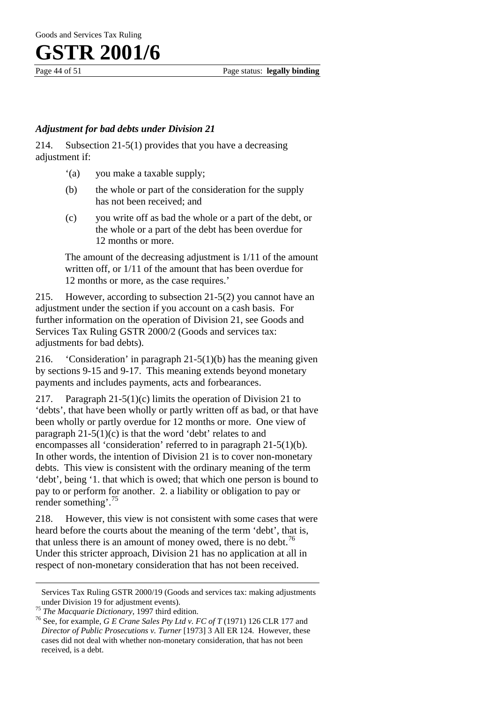#### *Adjustment for bad debts under Division 21*

214. Subsection 21-5(1) provides that you have a decreasing adjustment if:

- '(a) you make a taxable supply;
- (b) the whole or part of the consideration for the supply has not been received; and
- (c) you write off as bad the whole or a part of the debt, or the whole or a part of the debt has been overdue for 12 months or more.

The amount of the decreasing adjustment is 1/11 of the amount written off, or 1/11 of the amount that has been overdue for 12 months or more, as the case requires.'

215. However, according to subsection 21-5(2) you cannot have an adjustment under the section if you account on a cash basis. For further information on the operation of Division 21, see Goods and Services Tax Ruling GSTR 2000/2 (Goods and services tax: adjustments for bad debts).

216. 'Consideration' in paragraph 21-5(1)(b) has the meaning given by sections 9-15 and 9-17. This meaning extends beyond monetary payments and includes payments, acts and forbearances.

217. Paragraph 21-5(1)(c) limits the operation of Division 21 to 'debts', that have been wholly or partly written off as bad, or that have been wholly or partly overdue for 12 months or more. One view of paragraph  $21-5(1)(c)$  is that the word 'debt' relates to and encompasses all 'consideration' referred to in paragraph 21-5(1)(b). In other words, the intention of Division 21 is to cover non-monetary debts. This view is consistent with the ordinary meaning of the term 'debt', being '1. that which is owed; that which one person is bound to pay to or perform for another. 2. a liability or obligation to pay or render something'.<sup>75</sup>

218. However, this view is not consistent with some cases that were heard before the courts about the meaning of the term 'debt', that is, that unless there is an amount of money owed, there is no debt.<sup>76</sup> Under this stricter approach, Division 21 has no application at all in respect of non-monetary consideration that has not been received.

 $\overline{a}$ 

Services Tax Ruling GSTR 2000/19 (Goods and services tax: making adjustments under Division 19 for adjustment events).<br><sup>75</sup> *The Macquarie Dictionary*, 1997 third edition.<br><sup>76</sup> See, for example, *G E Crane Sales Pty Ltd v. FC of T* (1971) 126 CLR 177 and

*Director of Public Prosecutions v. Turner* [1973] 3 All ER 124. However, these cases did not deal with whether non-monetary consideration, that has not been received, is a debt.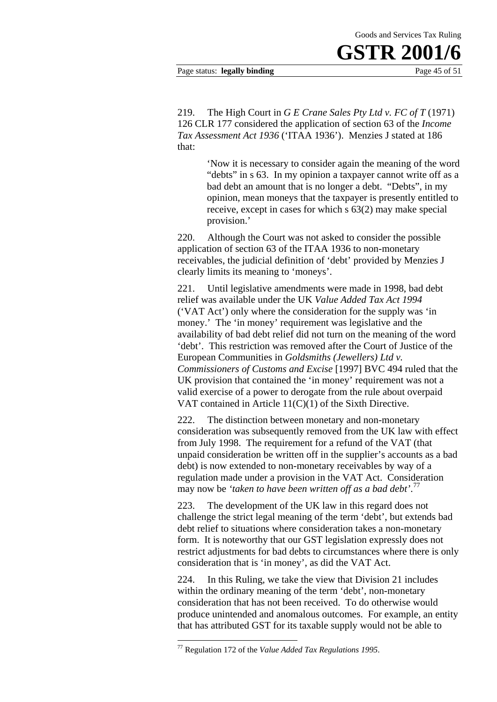#### Page status: **legally binding** Page 45 of 51

219. The High Court in *G E Crane Sales Pty Ltd v. FC of T* (1971) 126 CLR 177 considered the application of section 63 of the *Income Tax Assessment Act 1936* ('ITAA 1936'). Menzies J stated at 186 that:

> 'Now it is necessary to consider again the meaning of the word "debts" in s 63. In my opinion a taxpayer cannot write off as a bad debt an amount that is no longer a debt. "Debts", in my opinion, mean moneys that the taxpayer is presently entitled to receive, except in cases for which s 63(2) may make special provision.'

220. Although the Court was not asked to consider the possible application of section 63 of the ITAA 1936 to non-monetary receivables, the judicial definition of 'debt' provided by Menzies J clearly limits its meaning to 'moneys'.

221. Until legislative amendments were made in 1998, bad debt relief was available under the UK *Value Added Tax Act 1994* ('VAT Act') only where the consideration for the supply was 'in money.' The 'in money' requirement was legislative and the availability of bad debt relief did not turn on the meaning of the word 'debt'. This restriction was removed after the Court of Justice of the European Communities in *Goldsmiths (Jewellers) Ltd v. Commissioners of Customs and Excise* [1997] BVC 494 ruled that the UK provision that contained the 'in money' requirement was not a valid exercise of a power to derogate from the rule about overpaid VAT contained in Article 11(C)(1) of the Sixth Directive.

222. The distinction between monetary and non-monetary consideration was subsequently removed from the UK law with effect from July 1998. The requirement for a refund of the VAT (that unpaid consideration be written off in the supplier's accounts as a bad debt) is now extended to non-monetary receivables by way of a regulation made under a provision in the VAT Act. Consideration may now be *'taken to have been written off as a bad debt'*. 77

223. The development of the UK law in this regard does not challenge the strict legal meaning of the term 'debt', but extends bad debt relief to situations where consideration takes a non-monetary form. It is noteworthy that our GST legislation expressly does not restrict adjustments for bad debts to circumstances where there is only consideration that is 'in money', as did the VAT Act.

224. In this Ruling, we take the view that Division 21 includes within the ordinary meaning of the term 'debt', non-monetary consideration that has not been received. To do otherwise would produce unintended and anomalous outcomes. For example, an entity that has attributed GST for its taxable supply would not be able to

1

<sup>77</sup> Regulation 172 of the *Value Added Tax Regulations 1995*.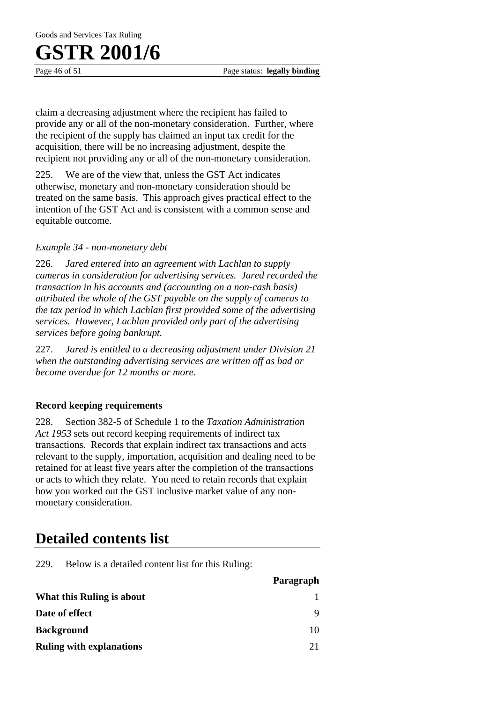Goods and Services Tax Ruling

### **GSTR 2001/6**

Page 46 of 51 Page status: **legally binding** 

claim a decreasing adjustment where the recipient has failed to provide any or all of the non-monetary consideration. Further, where the recipient of the supply has claimed an input tax credit for the acquisition, there will be no increasing adjustment, despite the recipient not providing any or all of the non-monetary consideration.

225. We are of the view that, unless the GST Act indicates otherwise, monetary and non-monetary consideration should be treated on the same basis. This approach gives practical effect to the intention of the GST Act and is consistent with a common sense and equitable outcome.

#### *Example 34 - non-monetary debt*

226. *Jared entered into an agreement with Lachlan to supply cameras in consideration for advertising services. Jared recorded the transaction in his accounts and (accounting on a non-cash basis) attributed the whole of the GST payable on the supply of cameras to the tax period in which Lachlan first provided some of the advertising services. However, Lachlan provided only part of the advertising services before going bankrupt.*

227. *Jared is entitled to a decreasing adjustment under Division 21 when the outstanding advertising services are written off as bad or become overdue for 12 months or more*.

#### **Record keeping requirements**

228. Section 382-5 of Schedule 1 to the *Taxation Administration Act 1953* sets out record keeping requirements of indirect tax transactions. Records that explain indirect tax transactions and acts relevant to the supply, importation, acquisition and dealing need to be retained for at least five years after the completion of the transactions or acts to which they relate. You need to retain records that explain how you worked out the GST inclusive market value of any nonmonetary consideration.

#### **Detailed contents list**

229. Below is a detailed content list for this Ruling:

|                                 | Paragraph |
|---------------------------------|-----------|
| What this Ruling is about       |           |
| Date of effect                  | Q         |
| <b>Background</b>               | 10        |
| <b>Ruling with explanations</b> | 21        |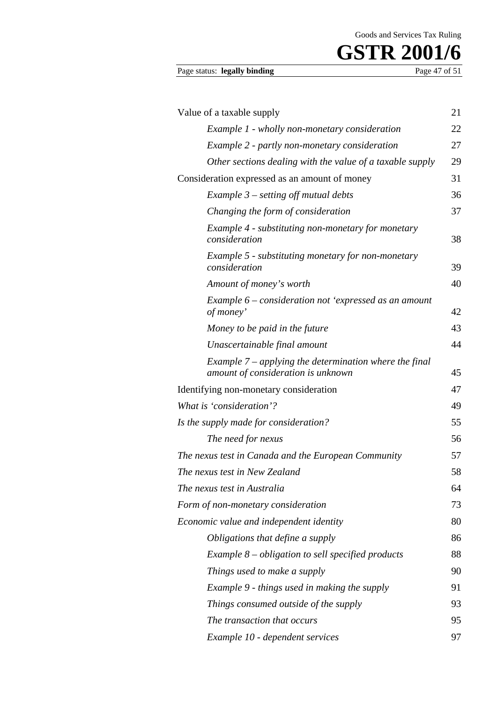# **GSTR 2001/6** Page 47 of 51

#### Page status: legally binding

| Value of a taxable supply                                                                      | 21 |
|------------------------------------------------------------------------------------------------|----|
| Example 1 - wholly non-monetary consideration                                                  | 22 |
| Example 2 - partly non-monetary consideration                                                  | 27 |
| Other sections dealing with the value of a taxable supply                                      | 29 |
| Consideration expressed as an amount of money                                                  | 31 |
| Example $3$ – setting off mutual debts                                                         | 36 |
| Changing the form of consideration                                                             | 37 |
| Example 4 - substituting non-monetary for monetary<br>consideration                            | 38 |
| Example 5 - substituting monetary for non-monetary<br>consideration                            | 39 |
| Amount of money's worth                                                                        | 40 |
| Example 6 – consideration not 'expressed as an amount<br>of money'                             | 42 |
| Money to be paid in the future                                                                 | 43 |
| Unascertainable final amount                                                                   | 44 |
| Example $7$ – applying the determination where the final<br>amount of consideration is unknown | 45 |
| Identifying non-monetary consideration                                                         | 47 |
| What is 'consideration'?                                                                       | 49 |
| Is the supply made for consideration?                                                          | 55 |
| The need for nexus                                                                             | 56 |
| The nexus test in Canada and the European Community                                            | 57 |
| The nexus test in New Zealand                                                                  | 58 |
| The nexus test in Australia                                                                    | 64 |
| Form of non-monetary consideration                                                             | 73 |
| Economic value and independent identity                                                        | 80 |
| Obligations that define a supply                                                               | 86 |
| Example $8$ – obligation to sell specified products                                            | 88 |
| Things used to make a supply                                                                   | 90 |
| Example 9 - things used in making the supply                                                   | 91 |
| Things consumed outside of the supply                                                          | 93 |
| The transaction that occurs                                                                    | 95 |
| Example 10 - dependent services                                                                | 97 |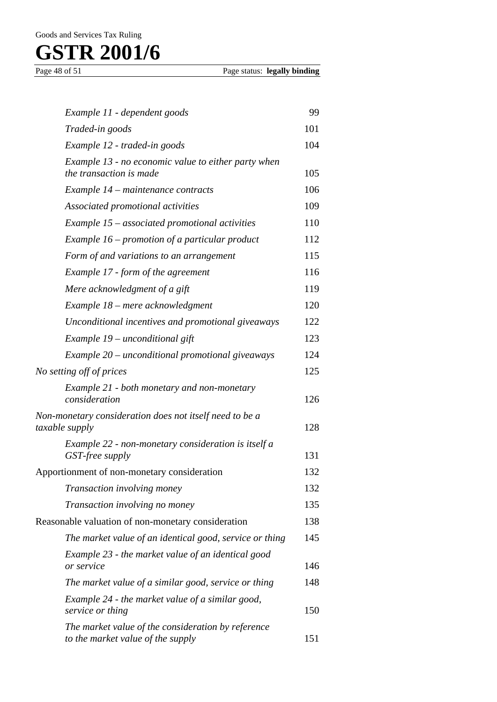| Example 11 - dependent goods                                                            | 99  |
|-----------------------------------------------------------------------------------------|-----|
| Traded-in goods                                                                         | 101 |
| Example 12 - traded-in goods                                                            | 104 |
| Example 13 - no economic value to either party when<br>the transaction is made          | 105 |
| Example 14 – maintenance contracts                                                      | 106 |
| Associated promotional activities                                                       | 109 |
| Example 15 - associated promotional activities                                          | 110 |
| Example $16$ – promotion of a particular product                                        | 112 |
| Form of and variations to an arrangement                                                | 115 |
| Example 17 - form of the agreement                                                      | 116 |
| Mere acknowledgment of a gift                                                           | 119 |
| Example 18 – mere acknowledgment                                                        | 120 |
| Unconditional incentives and promotional giveaways                                      | 122 |
| Example 19 – unconditional gift                                                         | 123 |
| Example 20 - unconditional promotional giveaways                                        | 124 |
| No setting off of prices                                                                | 125 |
| Example 21 - both monetary and non-monetary<br>consideration                            | 126 |
| Non-monetary consideration does not itself need to be a<br>taxable supply               | 128 |
| Example 22 - non-monetary consideration is itself a<br>GST-free supply                  | 131 |
| Apportionment of non-monetary consideration                                             | 132 |
| Transaction involving money                                                             | 132 |
| Transaction involving no money                                                          | 135 |
| Reasonable valuation of non-monetary consideration                                      | 138 |
| The market value of an identical good, service or thing                                 | 145 |
| Example 23 - the market value of an identical good<br>or service                        | 146 |
| The market value of a similar good, service or thing                                    | 148 |
| Example 24 - the market value of a similar good,<br>service or thing                    | 150 |
| The market value of the consideration by reference<br>to the market value of the supply | 151 |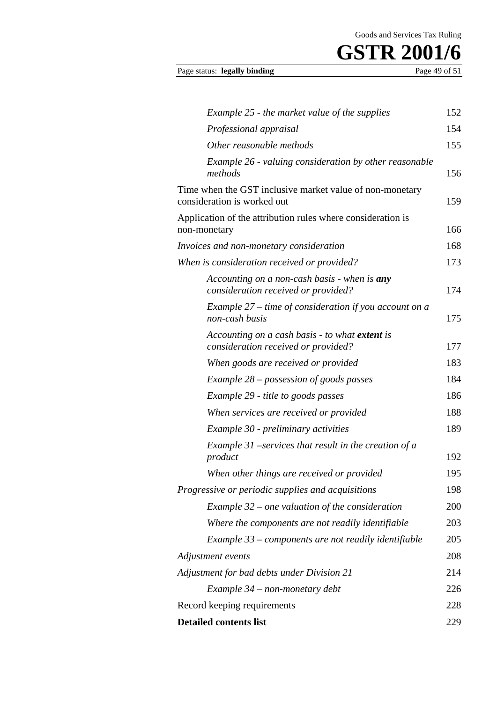|  | Page status: legally binding | Page 49 of 51 |
|--|------------------------------|---------------|
|--|------------------------------|---------------|

| Example 25 - the market value of the supplies                                           | 152 |
|-----------------------------------------------------------------------------------------|-----|
| Professional appraisal                                                                  | 154 |
| Other reasonable methods                                                                | 155 |
| Example 26 - valuing consideration by other reasonable<br>methods                       | 156 |
| Time when the GST inclusive market value of non-monetary<br>consideration is worked out | 159 |
| Application of the attribution rules where consideration is<br>non-monetary             | 166 |
| Invoices and non-monetary consideration                                                 | 168 |
| When is consideration received or provided?                                             | 173 |
| Accounting on a non-cash basis - when is any<br>consideration received or provided?     | 174 |
| Example $27$ – time of consideration if you account on a<br>non-cash basis              | 175 |
| Accounting on a cash basis - to what extent is<br>consideration received or provided?   | 177 |
| When goods are received or provided                                                     | 183 |
| Example $28$ – possession of goods passes                                               | 184 |
| Example 29 - title to goods passes                                                      | 186 |
| When services are received or provided                                                  | 188 |
| Example 30 - preliminary activities                                                     | 189 |
| Example 31 –services that result in the creation of a<br>product                        | 192 |
| When other things are received or provided                                              | 195 |
| Progressive or periodic supplies and acquisitions                                       | 198 |
| Example $32$ – one valuation of the consideration                                       | 200 |
| Where the components are not readily identifiable                                       | 203 |
| Example $33$ – components are not readily identifiable                                  | 205 |
| Adjustment events                                                                       | 208 |
| Adjustment for bad debts under Division 21                                              | 214 |
| Example 34 – non-monetary debt                                                          | 226 |
| Record keeping requirements                                                             | 228 |
| <b>Detailed contents list</b>                                                           | 229 |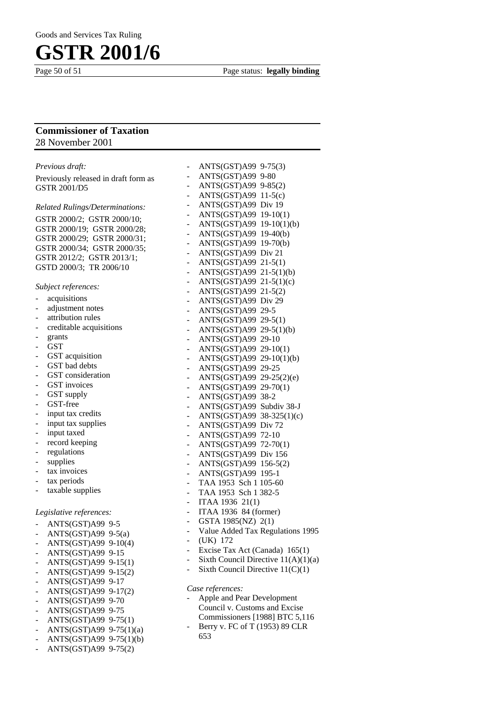Page 50 of 51 Page status: **legally binding** 

#### **Commissioner of Taxation**  28 November 2001

| Previous draft:                                     | ANTS(GST)A99 9-75(3)<br>$\overline{\phantom{0}}$     |
|-----------------------------------------------------|------------------------------------------------------|
| Previously released in draft form as                | ANTS(GST)A99 9-80<br>$\overline{\phantom{0}}$        |
| <b>GSTR 2001/D5</b>                                 | ANTS(GST)A99 9-85(2)<br>-                            |
|                                                     | $ANTS(GST)A99 11-5(c)$<br>÷,                         |
| <b>Related Rulings/Determinations:</b>              | ANTS(GST)A99 Div 19<br>÷,                            |
| GSTR 2000/2; GSTR 2000/10;                          | ANTS(GST)A99 19-10(1)<br>$\overline{\phantom{0}}$    |
|                                                     | ANTS(GST)A99 19-10(1)(b)<br>$\overline{\phantom{0}}$ |
| GSTR 2000/19; GSTR 2000/28;                         | ANTS(GST)A99 19-40(b)<br>$\overline{\phantom{0}}$    |
| GSTR 2000/29; GSTR 2000/31;                         | ANTS(GST)A99 19-70(b)<br>-                           |
| GSTR 2000/34; GSTR 2000/35;                         | ANTS(GST)A99 Div 21<br>-                             |
| GSTR 2012/2; GSTR 2013/1;                           | ANTS(GST)A99 21-5(1)                                 |
| GSTD 2000/3; TR 2006/10                             | ANTS(GST)A99 21-5(1)(b)<br>$\frac{1}{2}$             |
|                                                     | ANTS(GST)A99 21-5(1)(c)<br>$\frac{1}{2}$             |
| Subject references:                                 | ANTS(GST)A99 21-5(2)<br>$\overline{\phantom{0}}$     |
| acquisitions<br>$\overline{\phantom{0}}$            | ANTS(GST)A99 Div 29<br>$\overline{\phantom{0}}$      |
| adjustment notes<br>$\overline{\phantom{a}}$        | ANTS(GST)A99 29-5<br>$\overline{\phantom{0}}$        |
| attribution rules<br>÷,                             | ANTS(GST)A99 29-5(1)                                 |
| creditable acquisitions<br>$\overline{\phantom{0}}$ | $\frac{1}{2}$<br>ANTS(GST)A99 29-5(1)(b)             |
| grants<br>÷,                                        | $\overline{\phantom{0}}$                             |
| <b>GST</b><br>÷,                                    | ANTS(GST)A99 29-10<br>$\overline{\phantom{0}}$       |
| GST acquisition<br>$\overline{\phantom{a}}$         | ANTS(GST)A99 29-10(1)<br>$\overline{\phantom{0}}$    |
| GST bad debts<br>$\overline{\phantom{a}}$           | ANTS(GST)A99 29-10(1)(b)<br>$\overline{\phantom{a}}$ |
| GST consideration                                   | ANTS(GST)A99 29-25<br>-                              |
| ÷,<br>GST invoices                                  | ANTS(GST)A99 29-25(2)(e)<br>$\frac{1}{2}$            |
| ÷,<br>GST supply                                    | ANTS(GST)A99 29-70(1)<br>$\overline{\phantom{a}}$    |
| $\overline{\phantom{0}}$                            | ANTS(GST)A99 38-2<br>$\overline{\phantom{0}}$        |
| GST-free<br>÷,                                      | ANTS(GST)A99 Subdiv 38-J<br>$\overline{\phantom{0}}$ |
| input tax credits<br>$\overline{\phantom{0}}$       | ANTS(GST)A99 38-325(1)(c)<br>$\frac{1}{2}$           |
| input tax supplies<br>$\overline{\phantom{a}}$      | ANTS(GST)A99 Div 72<br>-                             |
| input taxed<br>-                                    | ANTS(GST)A99 72-10<br>÷,                             |
| record keeping<br>۰                                 | ANTS(GST)A99 72-70(1)<br>$\overline{\phantom{0}}$    |
| regulations<br>۰                                    | ANTS(GST)A99 Div 156<br>$\overline{\phantom{0}}$     |
| supplies<br>۰                                       | ANTS(GST)A99 156-5(2)<br>$\overline{\phantom{0}}$    |
| tax invoices<br>۰                                   | ANTS(GST)A99 195-1<br>$\overline{\phantom{a}}$       |
| tax periods<br>$\qquad \qquad \blacksquare$         | TAA 1953 Sch 1 105-60<br>$\overline{\phantom{0}}$    |
| taxable supplies<br>-                               | TAA 1953 Sch 1 382-5<br>÷,                           |
|                                                     | ITAA 1936 21(1)<br>$\overline{\phantom{a}}$          |
| Legislative references:                             | ITAA 1936 84 (former)<br>$\blacksquare$              |
| ANTS(GST)A99 9-5                                    | GSTA 1985(NZ) 2(1)<br>$\sim$                         |
| $ANTS(GST)A99 9-5(a)$<br>-                          | Value Added Tax Regulations 1995                     |
| ANTS(GST)A99 9-10(4)                                | (UK) 172                                             |
| $\overline{\phantom{0}}$                            | Excise Tax Act (Canada) 165(1)<br>-                  |
| ANTS(GST)A99 9-15<br>-                              | Sixth Council Directive $11(A)(1)(a)$                |
| ANTS(GST)A99 9-15(1)<br>÷,                          | Sixth Council Directive $11(C)(1)$                   |
| ANTS(GST)A99 9-15(2)<br>÷,                          |                                                      |
| ANTS(GST)A99 9-17<br>$\overline{\phantom{0}}$       | Case references:                                     |
| ANTS(GST)A99 9-17(2)<br>$\frac{1}{2}$               | Apple and Pear Development                           |
| ANTS(GST)A99 9-70<br>$\overline{\phantom{0}}$       | Council v. Customs and Excise                        |
| ANTS(GST)A99 9-75<br>$\overline{\phantom{0}}$       | Commissioners [1988] BTC 5,116                       |
| ANTS(GST)A99 9-75(1)<br>$\overline{\phantom{0}}$    |                                                      |
| ANTS(GST)A99 9-75(1)(a)<br>÷,                       | Berry v. FC of T (1953) 89 CLR                       |
| ANTS(GST)A99 9-75(1)(b)<br>$\overline{\phantom{0}}$ | 653                                                  |
| ANTS(GST)A99 9-75(2)<br>$\frac{1}{2}$               |                                                      |
|                                                     |                                                      |